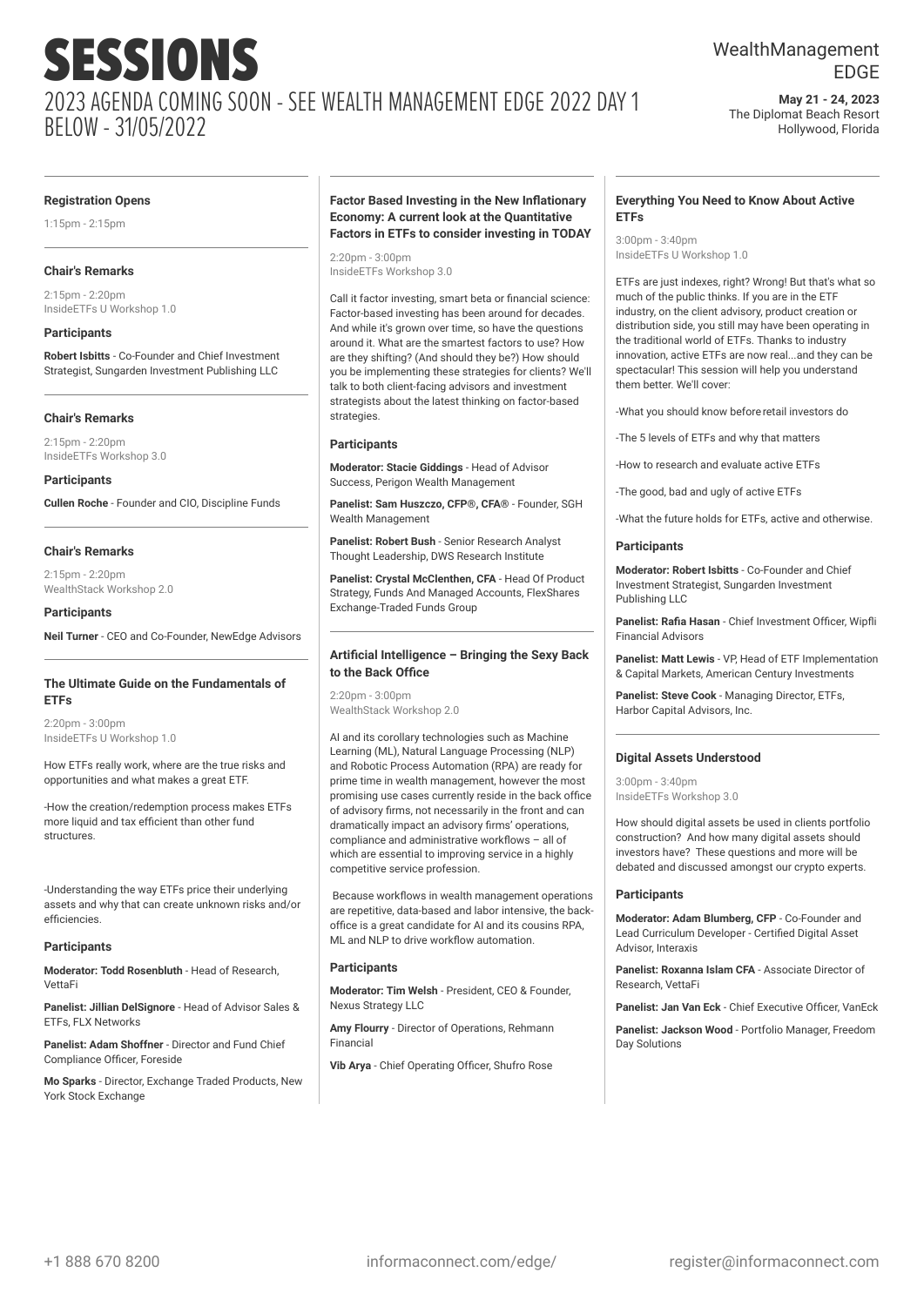## WealthManagement EDGE

**May 21 - 24, 2023** The Diplomat Beach Resort Hollywood, Florida

#### **Registration Opens**

1:15pm - 2:15pm

#### **Chair's Remarks**

2:15pm - 2:20pm InsideETFs U Workshop 1.0

#### **Participants**

**Robert Isbitts** - Co-Founder and Chief Investment Strategist, Sungarden Investment Publishing LLC

#### **Chair's Remarks**

 $2.15$ pm -  $2.20$ pm InsideETFs Workshop 3.0

#### **Participants**

**Cullen Roche** - Founder and CIO, Discipline Funds

#### **Chair's Remarks**

2:15pm - 2:20pm WealthStack Workshop 2.0

#### **Participants**

**Neil Turner** - CEO and Co-Founder, NewEdge Advisors

#### **The Ultimate Guide on the Fundamentals of ETFs**

2:20pm - 3:00pm InsideETFs U Workshop 1.0

How ETFs really work, where are the true risks and opportunities and what makes a great ETF.

-How the creation/redemption process makes ETFs more liquid and tax efficient than other fund structures.

-Understanding the way ETFs price their underlying assets and why that can create unknown risks and/or efficiencies.

#### **Participants**

**Moderator: Todd Rosenbluth** - Head of Research, VettaFi

**Panelist: Jillian DelSignore** - Head of Advisor Sales & ETFs, FLX Networks

**Panelist: Adam Shoffner** - Director and Fund Chief Compliance Officer, Foreside

**Mo Sparks** - Director, Exchange Traded Products, New York Stock Exchange

#### **Factor Based Investing in the New Inflationary Economy: A current look at the Quantitative Factors in ETFs to consider investing in TODAY**

2:20pm - 3:00pm InsideETFs Workshop 3.0

Call it factor investing, smart beta or financial science: Factor-based investing has been around for decades. And while it's grown over time, so have the questions around it. What are the smartest factors to use? How are they shifting? (And should they be?) How should you be implementing these strategies for clients? We'll talk to both client-facing advisors and investment strategists about the latest thinking on factor-based strategies.

#### **Participants**

**Moderator: Stacie Giddings** - Head of Advisor Success, Perigon Wealth Management

**Panelist: Sam Huszczo, CFP®, CFA®** - Founder, SGH Wealth Management

**Panelist: Robert Bush** - Senior Research Analyst Thought Leadership, DWS Research Institute

**Panelist: Crystal McClenthen, CFA** - Head Of Product Strategy, Funds And Managed Accounts, FlexShares Exchange-Traded Funds Group

#### **Artificial Intelligence – Bringing the Sexy Back to the Back Office**

2:20pm - 3:00pm WealthStack Workshop 2.0

AI and its corollary technologies such as Machine Learning (ML), Natural Language Processing (NLP) and Robotic Process Automation (RPA) are ready for prime time in wealth management, however the most promising use cases currently reside in the back office of advisory firms, not necessarily in the front and can dramatically impact an advisory firms' operations, compliance and administrative workflows – all of which are essential to improving service in a highly competitive service profession.

Because workflows in wealth management operations are repetitive, data-based and labor intensive, the backoffice is a great candidate for AI and its cousins RPA, ML and NLP to drive workflow automation.

#### **Participants**

**Moderator: Tim Welsh** - President, CEO & Founder, Nexus Strategy LLC

**Amy Flourry** - Director of Operations, Rehmann Financial

**Vib Arya** - Chief Operating Officer, Shufro Rose

#### **Everything You Need to Know About Active ETFs**

3:00pm - 3:40pm InsideETFs U Workshop 1.0

ETFs are just indexes, right? Wrong! But that's what so much of the public thinks. If you are in the ETF industry, on the client advisory, product creation or distribution side, you still may have been operating in the traditional world of ETFs. Thanks to industry innovation, active ETFs are now real...and they can be spectacular! This session will help you understand them better. We'll cover:

-What you should know beforeretail investors do

-The 5 levels of ETFs and why that matters

-How to research and evaluate active ETFs

-The good, bad and ugly of active ETFs

-What the future holds for ETFs, active and otherwise.

#### **Participants**

**Moderator: Robert Isbitts** - Co-Founder and Chief Investment Strategist, Sungarden Investment Publishing LLC

**Panelist: Rafia Hasan** - Chief Investment Officer, Wipfli Financial Advisors

**Panelist: Matt Lewis - VP Head of ETF Implementation** & Capital Markets, American Century Investments

**Panelist: Steve Cook** - Managing Director, ETFs, Harbor Capital Advisors, Inc.

#### **Digital Assets Understood**

 $3:00$ pm -  $3:40$ pm InsideETFs Workshop 3.0

How should digital assets be used in clients portfolio construction? And how many digital assets should investors have? These questions and more will be debated and discussed amongst our crypto experts.

#### **Participants**

**Moderator: Adam Blumberg, CFP** - Co-Founder and Lead Curriculum Developer - Certified Digital Asset Advisor, Interaxis

**Panelist: Roxanna Islam CFA** - Associate Director of Research, VettaFi

**Panelist: Jan Van Eck** - Chief Executive Officer, VanEck

**Panelist: Jackson Wood** - Portfolio Manager, Freedom Day Solutions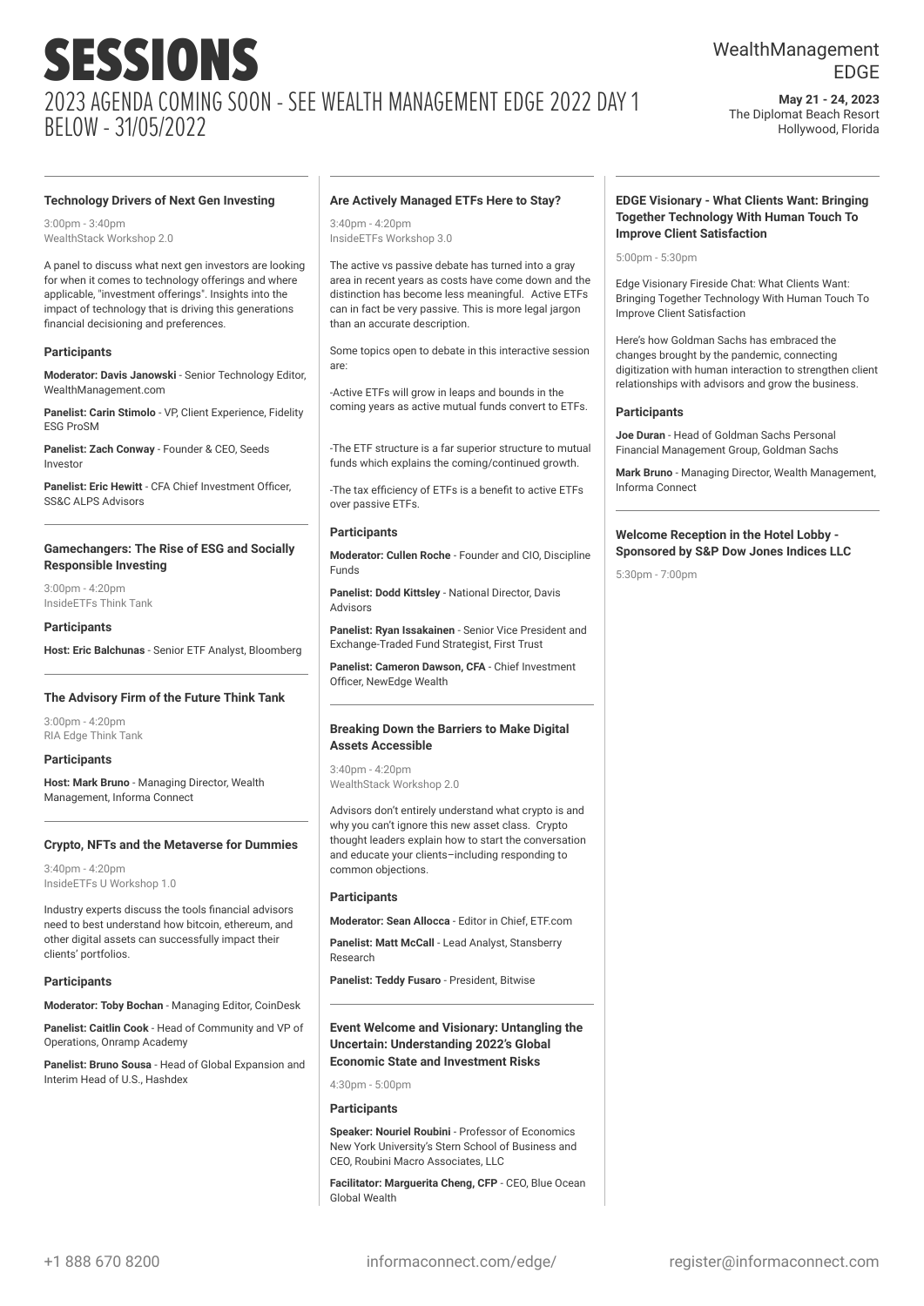## WealthManagement EDGE

**May 21 - 24, 2023** The Diplomat Beach Resort Hollywood, Florida

#### **Technology Drivers of Next Gen Investing**

 $3:00$ pm -  $3:40$ pm WealthStack Workshop 2.0

A panel to discuss what next gen investors are looking for when it comes to technology offerings and where applicable, "investment offerings". Insights into the impact of technology that is driving this generations financial decisioning and preferences.

#### **Participants**

**Moderator: Davis Janowski** - Senior Technology Editor, WealthManagement.com

**Panelist: Carin Stimolo** - VP, Client Experience, Fidelity ESG ProSM

**Panelist: Zach Conway** - Founder & CEO, Seeds Investor

**Panelist: Eric Hewitt** - CFA Chief Investment Officer, SS&C ALPS Advisors

#### **Gamechangers: The Rise of ESG and Socially Responsible Investing**

3:00pm - 4:20pm InsideETFs Think Tank

#### **Participants**

**Host: Eric Balchunas** - Senior ETF Analyst, Bloomberg

#### **The Advisory Firm of the Future Think Tank**

3:00pm - 4:20pm RIA Edge Think Tank

#### **Participants**

**Host: Mark Bruno** - Managing Director, Wealth Management, Informa Connect

#### **Crypto, NFTs and the Metaverse for Dummies**

3:40pm - 4:20pm InsideETFs U Workshop 1.0

Industry experts discuss the tools financial advisors need to best understand how bitcoin, ethereum, and other digital assets can successfully impact their clients' portfolios.

#### **Participants**

**Moderator: Toby Bochan** - Managing Editor, CoinDesk

**Panelist: Caitlin Cook** - Head of Community and VP of Operations, Onramp Academy

**Panelist: Bruno Sousa** - Head of Global Expansion and Interim Head of U.S., Hashdex

#### **Are Actively Managed ETFs Here to Stay?**

3:40pm - 4:20pm InsideETFs Workshop 3.0

The active vs passive debate has turned into a gray area in recent years as costs have come down and the distinction has become less meaningful. Active ETFs can in fact be very passive. This is more legal jargon than an accurate description.

Some topics open to debate in this interactive session are:

-Active ETFs will grow in leaps and bounds in the coming years as active mutual funds convert to ETFs.

-The ETF structure is a far superior structure to mutual funds which explains the coming/continued growth.

-The tax efficiency of ETFs is a benefit to active ETFs over passive ETFs.

#### **Participants**

**Moderator: Cullen Roche** - Founder and CIO, Discipline Funds

**Panelist: Dodd Kittsley** - National Director, Davis Advisors

**Panelist: Ryan Issakainen** - Senior Vice President and Exchange-Traded Fund Strategist, First Trust

**Panelist: Cameron Dawson, CFA** - Chief Investment Officer, NewEdge Wealth

#### **Breaking Down the Barriers to Make Digital Assets Accessible**

3:40pm - 4:20pm WealthStack Workshop 2.0

Advisors don't entirely understand what crypto is and why you can't ignore this new asset class. Crypto thought leaders explain how to start the conversation and educate your clients–including responding to common objections.

#### **Participants**

**Moderator: Sean Allocca** - Editor in Chief, ETF.com

**Panelist: Matt McCall** - Lead Analyst, Stansberry Research

**Panelist: Teddy Fusaro** - President, Bitwise

#### **Event Welcome and Visionary: Untangling the Uncertain: Understanding 2022's Global Economic State and Investment Risks**

4:30pm - 5:00pm

#### **Participants**

**Speaker: Nouriel Roubini** - Professor of Economics New York University's Stern School of Business and CEO, Roubini Macro Associates, LLC

**Facilitator: Marguerita Cheng, CFP** - CEO, Blue Ocean Global Wealth

#### **EDGE Visionary - What Clients Want: Bringing Together Technology With Human Touch To Improve Client Satisfaction**

5:00pm - 5:30pm

Edge Visionary Fireside Chat: What Clients Want: Bringing Together Technology With Human Touch To Improve Client Satisfaction

Here's how Goldman Sachs has embraced the changes brought by the pandemic, connecting digitization with human interaction to strengthen client relationships with advisors and grow the business.

#### **Participants**

**Joe Duran** - Head of Goldman Sachs Personal Financial Management Group, Goldman Sachs

**Mark Bruno** - Managing Director, Wealth Management, Informa Connect

#### **Welcome Reception in the Hotel Lobby - Sponsored by S&P Dow Jones Indices LLC**

5:30pm - 7:00pm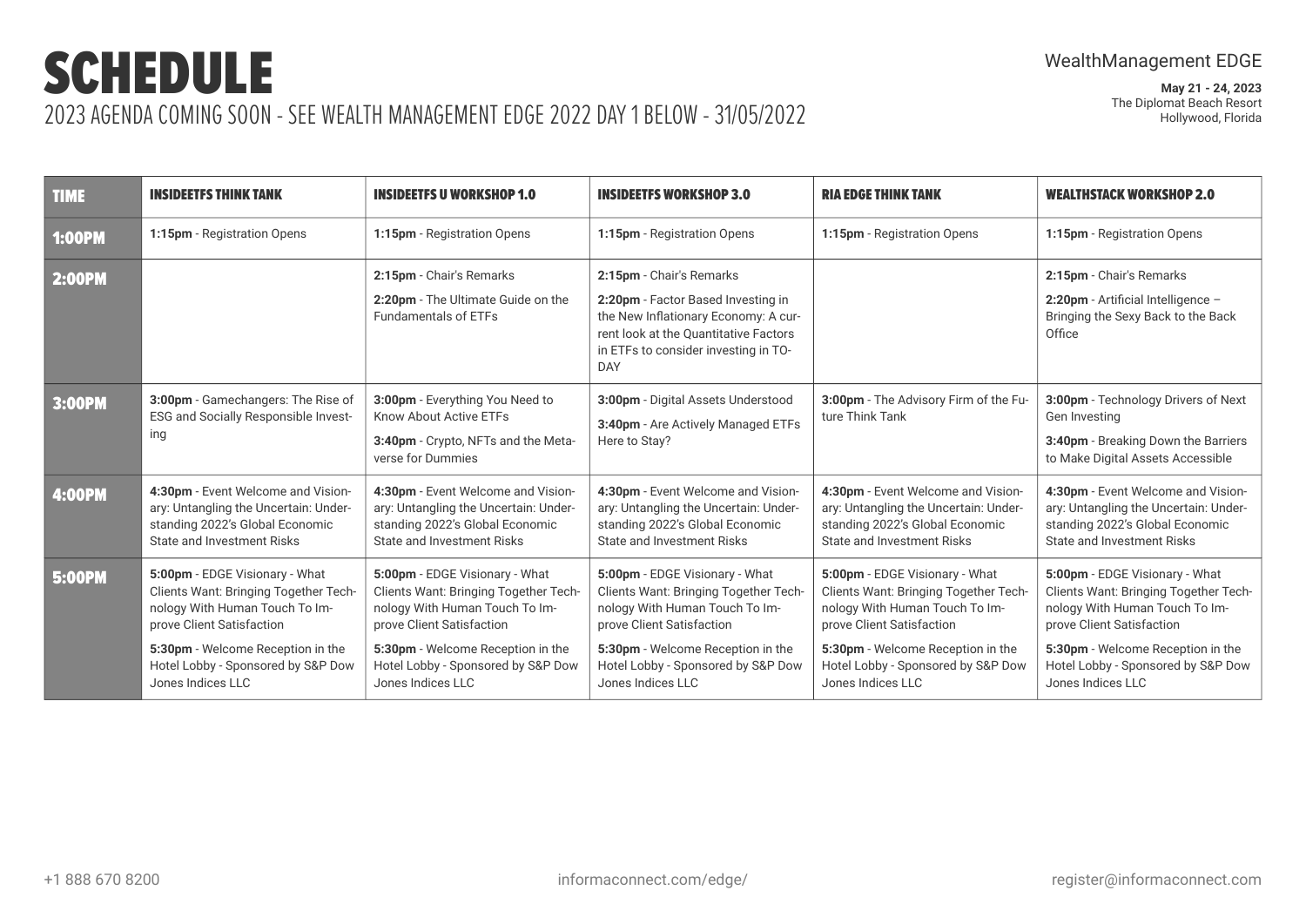| <b>TIME</b>   | <b>INSIDEETFS THINK TANK</b>                                                                                                                                                                                                           | <b>INSIDEETFS U WORKSHOP 1.0</b>                                                                                                                                                                                                       | <b>INSIDEETFS WORKSHOP 3.0</b>                                                                                                                                                                                                         | <b>RIA EDGE THINK TANK</b>                                                                                                                                                                                                             | <b>WEALTHSTACK WORKSHOP 2.0</b>                                                                                                                                                                                                        |
|---------------|----------------------------------------------------------------------------------------------------------------------------------------------------------------------------------------------------------------------------------------|----------------------------------------------------------------------------------------------------------------------------------------------------------------------------------------------------------------------------------------|----------------------------------------------------------------------------------------------------------------------------------------------------------------------------------------------------------------------------------------|----------------------------------------------------------------------------------------------------------------------------------------------------------------------------------------------------------------------------------------|----------------------------------------------------------------------------------------------------------------------------------------------------------------------------------------------------------------------------------------|
| <b>1:00PM</b> | 1:15pm - Registration Opens                                                                                                                                                                                                            | 1:15pm - Registration Opens                                                                                                                                                                                                            | 1:15pm - Registration Opens                                                                                                                                                                                                            | 1:15pm - Registration Opens                                                                                                                                                                                                            | 1:15pm - Registration Opens                                                                                                                                                                                                            |
| <b>2:00PM</b> |                                                                                                                                                                                                                                        | 2:15pm - Chair's Remarks<br>2:20pm - The Ultimate Guide on the<br>Fundamentals of ETFs                                                                                                                                                 | 2:15pm - Chair's Remarks<br>2:20pm - Factor Based Investing in<br>the New Inflationary Economy: A cur-<br>rent look at the Quantitative Factors<br>in ETFs to consider investing in TO-<br><b>DAY</b>                                  |                                                                                                                                                                                                                                        | 2:15pm - Chair's Remarks<br>2:20pm - Artificial Intelligence -<br>Bringing the Sexy Back to the Back<br>Office                                                                                                                         |
| 3:00PM        | 3:00pm - Gamechangers: The Rise of<br>ESG and Socially Responsible Invest-<br>ing                                                                                                                                                      | 3:00pm - Everything You Need to<br>Know About Active ETFs<br>3:40pm - Crypto, NFTs and the Meta-<br>verse for Dummies                                                                                                                  | 3:00pm - Digital Assets Understood<br>3:40pm - Are Actively Managed ETFs<br>Here to Stay?                                                                                                                                              | 3:00pm - The Advisory Firm of the Fu-<br>ture Think Tank                                                                                                                                                                               | 3:00pm - Technology Drivers of Next<br>Gen Investing<br>3:40pm - Breaking Down the Barriers<br>to Make Digital Assets Accessible                                                                                                       |
| <b>4:00PM</b> | 4:30pm - Event Welcome and Vision-<br>ary: Untangling the Uncertain: Under-<br>standing 2022's Global Economic<br><b>State and Investment Risks</b>                                                                                    | 4:30pm - Event Welcome and Vision-<br>ary: Untangling the Uncertain: Under-<br>standing 2022's Global Economic<br><b>State and Investment Risks</b>                                                                                    | 4:30pm - Event Welcome and Vision-<br>ary: Untangling the Uncertain: Under-<br>standing 2022's Global Economic<br><b>State and Investment Risks</b>                                                                                    | 4:30pm - Event Welcome and Vision-<br>ary: Untangling the Uncertain: Under-<br>standing 2022's Global Economic<br><b>State and Investment Risks</b>                                                                                    | 4:30pm - Event Welcome and Vision-<br>ary: Untangling the Uncertain: Under-<br>standing 2022's Global Economic<br><b>State and Investment Risks</b>                                                                                    |
| <b>5:00PM</b> | 5:00pm - EDGE Visionary - What<br>Clients Want: Bringing Together Tech-<br>nology With Human Touch To Im-<br>prove Client Satisfaction<br>5:30pm - Welcome Reception in the<br>Hotel Lobby - Sponsored by S&P Dow<br>Jones Indices LLC | 5:00pm - EDGE Visionary - What<br>Clients Want: Bringing Together Tech-<br>nology With Human Touch To Im-<br>prove Client Satisfaction<br>5:30pm - Welcome Reception in the<br>Hotel Lobby - Sponsored by S&P Dow<br>Jones Indices LLC | 5:00pm - EDGE Visionary - What<br>Clients Want: Bringing Together Tech-<br>nology With Human Touch To Im-<br>prove Client Satisfaction<br>5:30pm - Welcome Reception in the<br>Hotel Lobby - Sponsored by S&P Dow<br>Jones Indices LLC | 5:00pm - EDGE Visionary - What<br>Clients Want: Bringing Together Tech-<br>nology With Human Touch To Im-<br>prove Client Satisfaction<br>5:30pm - Welcome Reception in the<br>Hotel Lobby - Sponsored by S&P Dow<br>Jones Indices LLC | 5:00pm - EDGE Visionary - What<br>Clients Want: Bringing Together Tech-<br>nology With Human Touch To Im-<br>prove Client Satisfaction<br>5:30pm - Welcome Reception in the<br>Hotel Lobby - Sponsored by S&P Dow<br>Jones Indices LLC |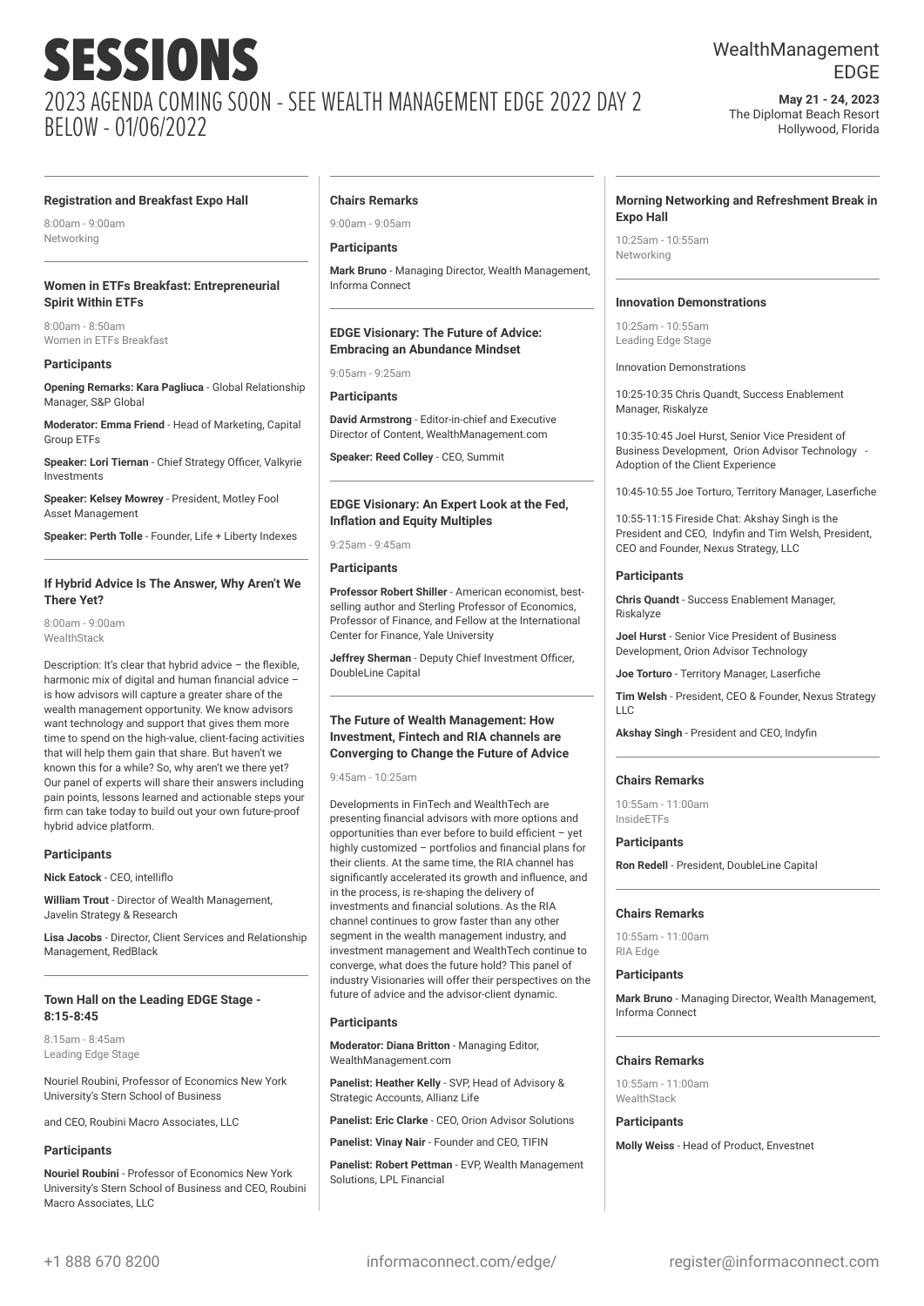### WealthManagement EDGE

**May 21 - 24, 2023** The Diplomat Beach Resort Hollywood, Florida

#### **Registration and Breakfast Expo Hall**

8:00am - 9:00am Networking

#### **Women in ETFs Breakfast: Entrepreneurial Spirit Within ETFs**

8:00am - 8:50am Women in ETFs Breakfast

#### **Participants**

**Opening Remarks: Kara Pagliuca** - Global Relationship Manager, S&P Global

**Moderator: Emma Friend** - Head of Marketing, Capital Group ETFs

**Speaker: Lori Tiernan** - Chief Strategy Officer, Valkyrie Investments

**Speaker: Kelsey Mowrey** - President, Motley Fool Asset Management

**Speaker: Perth Tolle** - Founder, Life + Liberty Indexes

#### **If Hybrid Advice Is The Answer, Why Aren't We There Yet?**

8:00am - 9:00am **WealthStack** 

Description: It's clear that hybrid advice – the flexible, harmonic mix of digital and human financial advice – is how advisors will capture a greater share of the wealth management opportunity. We know advisors want technology and support that gives them more time to spend on the high-value, client-facing activities that will help them gain that share. But haven't we known this for a while? So, why aren't we there yet? Our panel of experts will share their answers including pain points, lessons learned and actionable steps your firm can take today to build out your own future-proof hybrid advice platform.

#### **Participants**

**Nick Eatock** - CEO, intelliflo

**William Trout** - Director of Wealth Management, Javelin Strategy & Research

**Lisa Jacobs** - Director, Client Services and Relationship Management, RedBlack

#### **Town Hall on the Leading EDGE Stage - 8:15-8:45**

8:15am - 8:45am Leading Edge Stage

Nouriel Roubini, Professor of Economics New York University's Stern School of Business

and CEO, Roubini Macro Associates, LLC

#### **Participants**

**Nouriel Roubini** - Professor of Economics New York University's Stern School of Business and CEO, Roubini Macro Associates, LLC

#### **Chairs Remarks**

9:00am - 9:05am

#### **Participants**

**Mark Bruno** - Managing Director, Wealth Management, Informa Connect

#### **EDGE Visionary: The Future of Advice: Embracing an Abundance Mindset**

9:05am - 9:25am

#### **Participants**

**David Armstrong** - Editor-in-chief and Executive Director of Content, WealthManagement.com

**Speaker: Reed Colley** - CEO, Summit

#### **EDGE Visionary: An Expert Look at the Fed, Inflation and Equity Multiples**

9:25am - 9:45am

#### **Participants**

**Professor Robert Shiller** - American economist, bestselling author and Sterling Professor of Economics, Professor of Finance, and Fellow at the International Center for Finance, Yale University

**Jeffrey Sherman** - Deputy Chief Investment Officer, DoubleLine Capital

#### **The Future of Wealth Management: How Investment, Fintech and RIA channels are Converging to Change the Future of Advice**

9:45am - 10:25am

Developments in FinTech and WealthTech are presenting financial advisors with more options and opportunities than ever before to build efficient – yet highly customized – portfolios and financial plans for their clients. At the same time, the RIA channel has significantly accelerated its growth and influence, and in the process, is re-shaping the delivery of investments and financial solutions. As the RIA channel continues to grow faster than any other segment in the wealth management industry, and investment management and WealthTech continue to converge, what does the future hold? This panel of industry Visionaries will offer their perspectives on the future of advice and the advisor-client dynamic.

#### **Participants**

**Moderator: Diana Britton** - Managing Editor, WealthManagement.com

**Panelist: Heather Kelly** - SVP, Head of Advisory & Strategic Accounts, Allianz Life

**Panelist: Eric Clarke** - CEO, Orion Advisor Solutions

**Panelist: Vinay Nair** - Founder and CEO, TIFIN

**Panelist: Robert Pettman** - EVP, Wealth Management Solutions, LPL Financial

#### **Morning Networking and Refreshment Break in Expo Hall**

10:25am - 10:55am Networking

#### **Innovation Demonstrations**

10:25am - 10:55am Leading Edge Stage

Innovation Demonstrations

10:25-10:35 Chris Quandt, Success Enablement Manager, Riskalyze

10:35-10:45 Joel Hurst, Senior Vice President of Business Development, Orion Advisor Technology - Adoption of the Client Experience

10:45-10:55 Joe Torturo, Territory Manager, Laserfiche

10:55-11:15 Fireside Chat: Akshay Singh is the President and CEO, Indyfin and Tim Welsh, President, CEO and Founder, Nexus Strategy, LLC

#### **Participants**

**Chris Quandt** - Success Enablement Manager, Riskalyze

**Joel Hurst** - Senior Vice President of Business Development, Orion Advisor Technology

**Joe Torturo** - Territory Manager, Laserfiche

**Tim Welsh** - President, CEO & Founder, Nexus Strategy  $\Box$ C

**Akshay Singh** - President and CEO, Indyfin

#### **Chairs Remarks**

10:55am - 11:00am InsideETFs

#### **Participants**

**Ron Redell** - President, DoubleLine Capital

#### **Chairs Remarks**

10:55am - 11:00am RIA Edge

#### **Participants**

**Mark Bruno** - Managing Director, Wealth Management, Informa Connect

#### **Chairs Remarks**

10:55am - 11:00am **WealthStack** 

#### **Participants**

**Molly Weiss** - Head of Product, Envestnet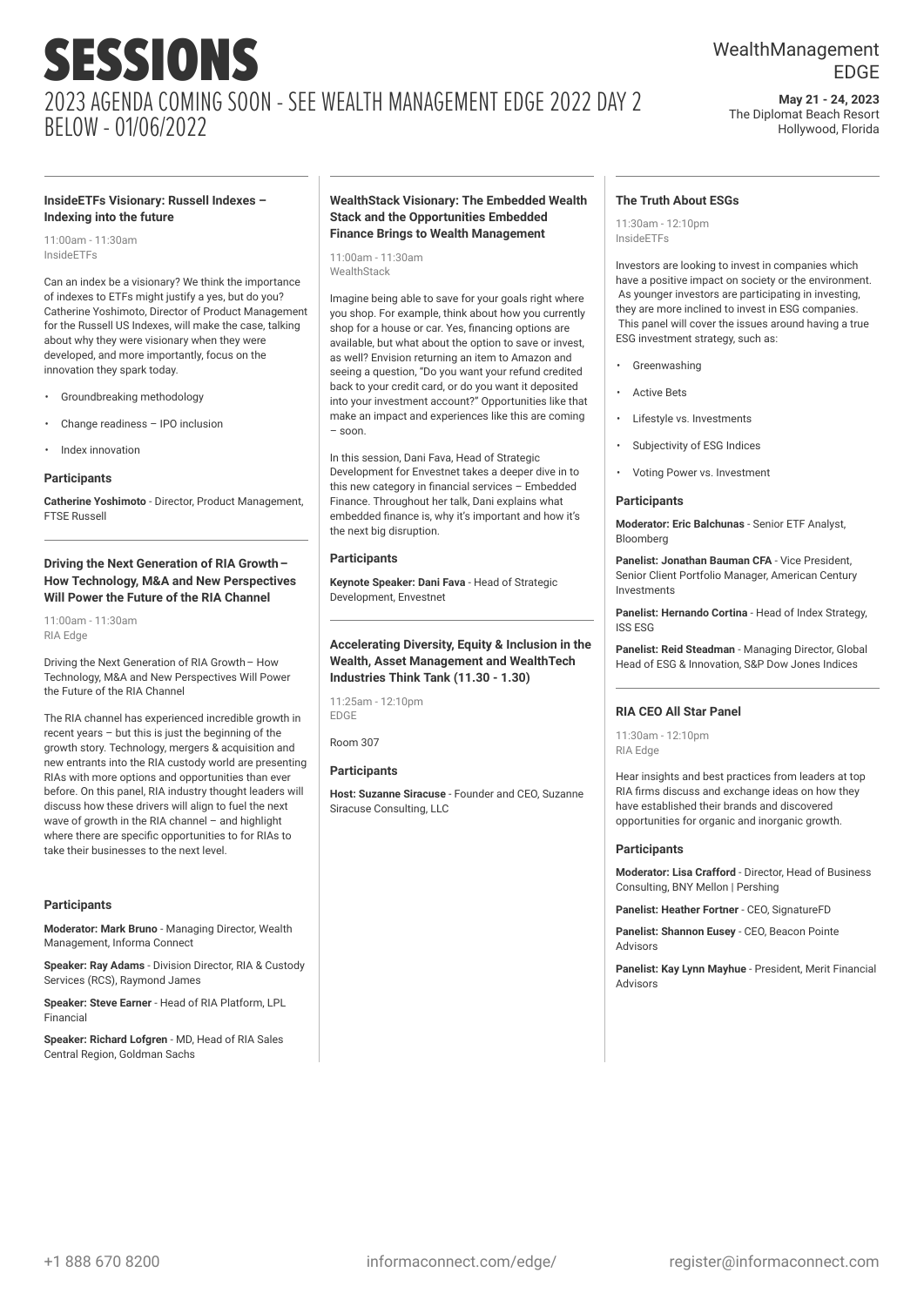## WealthManagement EDGE

**May 21 - 24, 2023** The Diplomat Beach Resort Hollywood, Florida

#### **InsideETFs Visionary: Russell Indexes – Indexing into the future**

11:00am - 11:30am InsideETFs

Can an index be a visionary? We think the importance of indexes to ETFs might justify a yes, but do you? Catherine Yoshimoto, Director of Product Management for the Russell US Indexes, will make the case, talking about why they were visionary when they were developed, and more importantly, focus on the innovation they spark today.

- Groundbreaking methodology
- Change readiness IPO inclusion
- Index innovation

#### **Participants**

**Catherine Yoshimoto** - Director, Product Management, FTSE Russell

#### **Driving the Next Generation of RIA Growth– How Technology, M&A and New Perspectives Will Power the Future of the RIA Channel**

11:00am - 11:30am RIA Edge

Driving the Next Generation of RIA Growth– How Technology, M&A and New Perspectives Will Power the Future of the RIA Channel

The RIA channel has experienced incredible growth in recent years – but this is just the beginning of the growth story. Technology, mergers & acquisition and new entrants into the RIA custody world are presenting RIAs with more options and opportunities than ever before. On this panel, RIA industry thought leaders will discuss how these drivers will align to fuel the next wave of growth in the RIA channel – and highlight where there are specific opportunities to for RIAs to take their businesses to the next level.

#### **Participants**

**Moderator: Mark Bruno** - Managing Director, Wealth Management, Informa Connect

**Speaker: Ray Adams** - Division Director, RIA & Custody Services (RCS), Raymond James

**Speaker: Steve Earner - Head of RIA Platform, LPL** Financial

**Speaker: Richard Lofgren** - MD, Head of RIA Sales Central Region, Goldman Sachs

#### **WealthStack Visionary: The Embedded Wealth Stack and the Opportunities Embedded Finance Brings to Wealth Management**

11:00am - 11:30am **WealthStack** 

Imagine being able to save for your goals right where you shop. For example, think about how you currently shop for a house or car. Yes, financing options are available, but what about the option to save or invest, as well? Envision returning an item to Amazon and seeing a question, "Do you want your refund credited back to your credit card, or do you want it deposited into your investment account?" Opportunities like that make an impact and experiences like this are coming – soon.

In this session, Dani Fava, Head of Strategic Development for Envestnet takes a deeper dive in to this new category in financial services – Embedded Finance. Throughout her talk, Dani explains what embedded finance is, why it's important and how it's the next big disruption.

#### **Participants**

**Keynote Speaker: Dani Fava** - Head of Strategic Development, Envestnet

#### **Accelerating Diversity, Equity & Inclusion in the Wealth, Asset Management and WealthTech Industries Think Tank (11.30 - 1.30)**

11:25am - 12:10pm EDGE

Room 307

#### **Participants**

**Host: Suzanne Siracuse** - Founder and CEO, Suzanne Siracuse Consulting, LLC

#### **The Truth About ESGs**

11:30am - 12:10pm InsideETFs

Investors are looking to invest in companies which have a positive impact on society or the environment. As younger investors are participating in investing, they are more inclined to invest in ESG companies. This panel will cover the issues around having a true ESG investment strategy, such as:

- **Greenwashing**
- **Active Bets**
- Lifestyle vs. Investments
- Subjectivity of ESG Indices
- Voting Power vs. Investment

#### **Participants**

**Moderator: Eric Balchunas** - Senior ETF Analyst, Bloomberg

**Panelist: Jonathan Bauman CFA** - Vice President, Senior Client Portfolio Manager, American Century Investments

**Panelist: Hernando Cortina** - Head of Index Strategy, ISS ESG

**Panelist: Reid Steadman** - Managing Director, Global Head of ESG & Innovation, S&P Dow Jones Indices

#### **RIA CEO All Star Panel**

11:30am - 12:10pm RIA Edge

Hear insights and best practices from leaders at top RIA firms discuss and exchange ideas on how they have established their brands and discovered opportunities for organic and inorganic growth.

#### **Participants**

**Moderator: Lisa Crafford** - Director, Head of Business Consulting, BNY Mellon | Pershing

**Panelist: Heather Fortner** - CEO, SignatureFD

**Panelist: Shannon Eusey** - CEO, Beacon Pointe Advisors

**Panelist: Kay Lynn Mayhue** - President, Merit Financial Advisors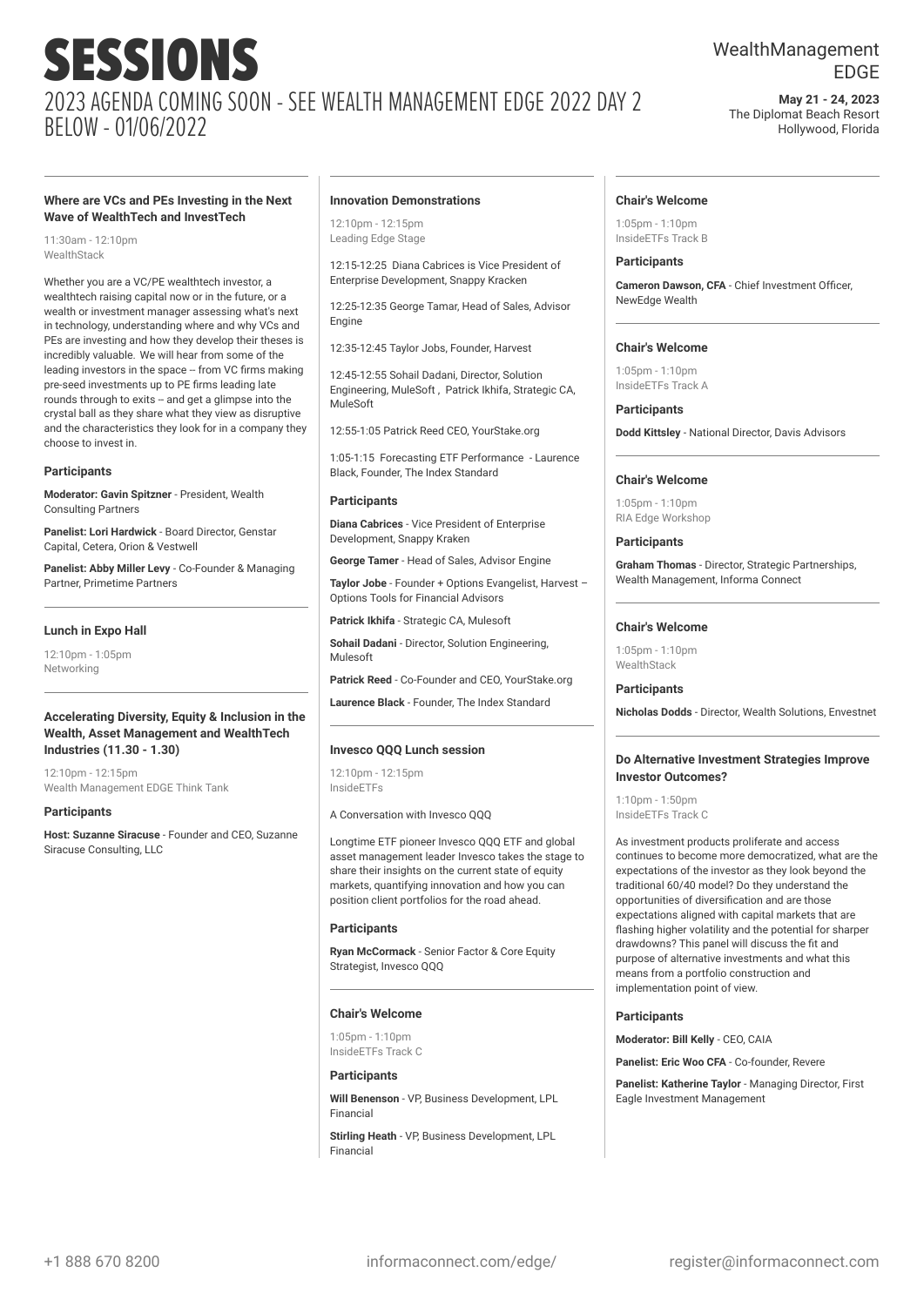## WealthManagement EDGE

**May 21 - 24, 2023** The Diplomat Beach Resort Hollywood, Florida

#### **Where are VCs and PEs Investing in the Next Wave of WealthTech and InvestTech**

11:30am - 12:10pm **WealthStack** 

Whether you are a VC/PE wealthtech investor, a wealthtech raising capital now or in the future, or a wealth or investment manager assessing what's next in technology, understanding where and why VCs and PEs are investing and how they develop their theses is incredibly valuable. We will hear from some of the leading investors in the space -- from VC firms making pre-seed investments up to PE firms leading late rounds through to exits -- and get a glimpse into the crystal ball as they share what they view as disruptive and the characteristics they look for in a company they choose to invest in.

#### **Participants**

**Moderator: Gavin Spitzner** - President, Wealth Consulting Partners

**Panelist: Lori Hardwick** - Board Director, Genstar Capital, Cetera, Orion & Vestwell

**Panelist: Abby Miller Levy** - Co-Founder & Managing Partner, Primetime Partners

#### **Lunch in Expo Hall**

12:10pm - 1:05pm Networking

#### **Accelerating Diversity, Equity & Inclusion in the Wealth, Asset Management and WealthTech Industries (11.30 - 1.30)**

12:10pm - 12:15pm Wealth Management EDGE Think Tank

#### **Participants**

**Host: Suzanne Siracuse** - Founder and CEO, Suzanne Siracuse Consulting, LLC

#### **Innovation Demonstrations**

12:10pm - 12:15pm Leading Edge Stage

12:15-12:25 Diana Cabrices is Vice President of Enterprise Development, Snappy Kracken

12:25-12:35 George Tamar, Head of Sales, Advisor Engine

12:35-12:45 Taylor Jobs, Founder, Harvest

12:45-12:55 Sohail Dadani, Director, Solution Engineering, MuleSoft , Patrick Ikhifa, Strategic CA, MuleSoft

12:55-1:05 Patrick Reed CEO, YourStake.org

1:05-1:15 Forecasting ETF Performance - Laurence Black, Founder, The Index Standard

#### **Participants**

**Diana Cabrices** - Vice President of Enterprise Development, Snappy Kraken

**George Tamer** - Head of Sales, Advisor Engine

**Taylor Jobe** - Founder + Options Evangelist, Harvest – Options Tools for Financial Advisors

**Patrick Ikhifa** - Strategic CA, Mulesoft

**Sohail Dadani** - Director, Solution Engineering, Mulesoft

**Patrick Reed** - Co-Founder and CEO, YourStake.org

**Laurence Black** - Founder, The Index Standard

#### **Invesco QQQ Lunch session**

12:10pm - 12:15pm InsideETFs

A Conversation with Invesco QQQ

Longtime ETF pioneer Invesco QQQ ETF and global asset management leader Invesco takes the stage to share their insights on the current state of equity markets, quantifying innovation and how you can position client portfolios for the road ahead.

#### **Participants**

**Ryan McCormack** - Senior Factor & Core Equity Strategist, Invesco QQQ

#### **Chair's Welcome**

1:05pm - 1:10pm InsideETFs Track C

#### **Participants**

**Will Benenson** - VP Business Development, LPL Financial

**Stirling Heath** - VP, Business Development, LPL Financial

#### **Chair's Welcome**

 $1:05$ pm -  $1:10$ pm InsideETFs Track B

#### **Participants**

**Cameron Dawson, CFA** - Chief Investment Officer, NewEdge Wealth

#### **Chair's Welcome**

1:05pm - 1:10pm InsideETFs Track A

#### **Participants**

**Dodd Kittsley** - National Director, Davis Advisors

#### **Chair's Welcome**

 $1:05$ pm -  $1:10$ pm RIA Edge Workshop

#### **Participants**

**Graham Thomas** - Director, Strategic Partnerships, Wealth Management, Informa Connect

#### **Chair's Welcome**

 $1:05$ pm -  $1:10$ pm WealthStack

#### **Participants**

**Nicholas Dodds** - Director, Wealth Solutions, Envestnet

#### **Do Alternative Investment Strategies Improve Investor Outcomes?**

1:10pm - 1:50pm InsideETFs Track C

As investment products proliferate and access continues to become more democratized, what are the expectations of the investor as they look beyond the traditional 60/40 model? Do they understand the opportunities of diversification and are those expectations aligned with capital markets that are flashing higher volatility and the potential for sharper drawdowns? This panel will discuss the fit and purpose of alternative investments and what this means from a portfolio construction and implementation point of view.

#### **Participants**

**Moderator: Bill Kelly** - CEO, CAIA

**Panelist: Eric Woo CFA** - Co-founder, Revere

**Panelist: Katherine Taylor** - Managing Director, First Eagle Investment Management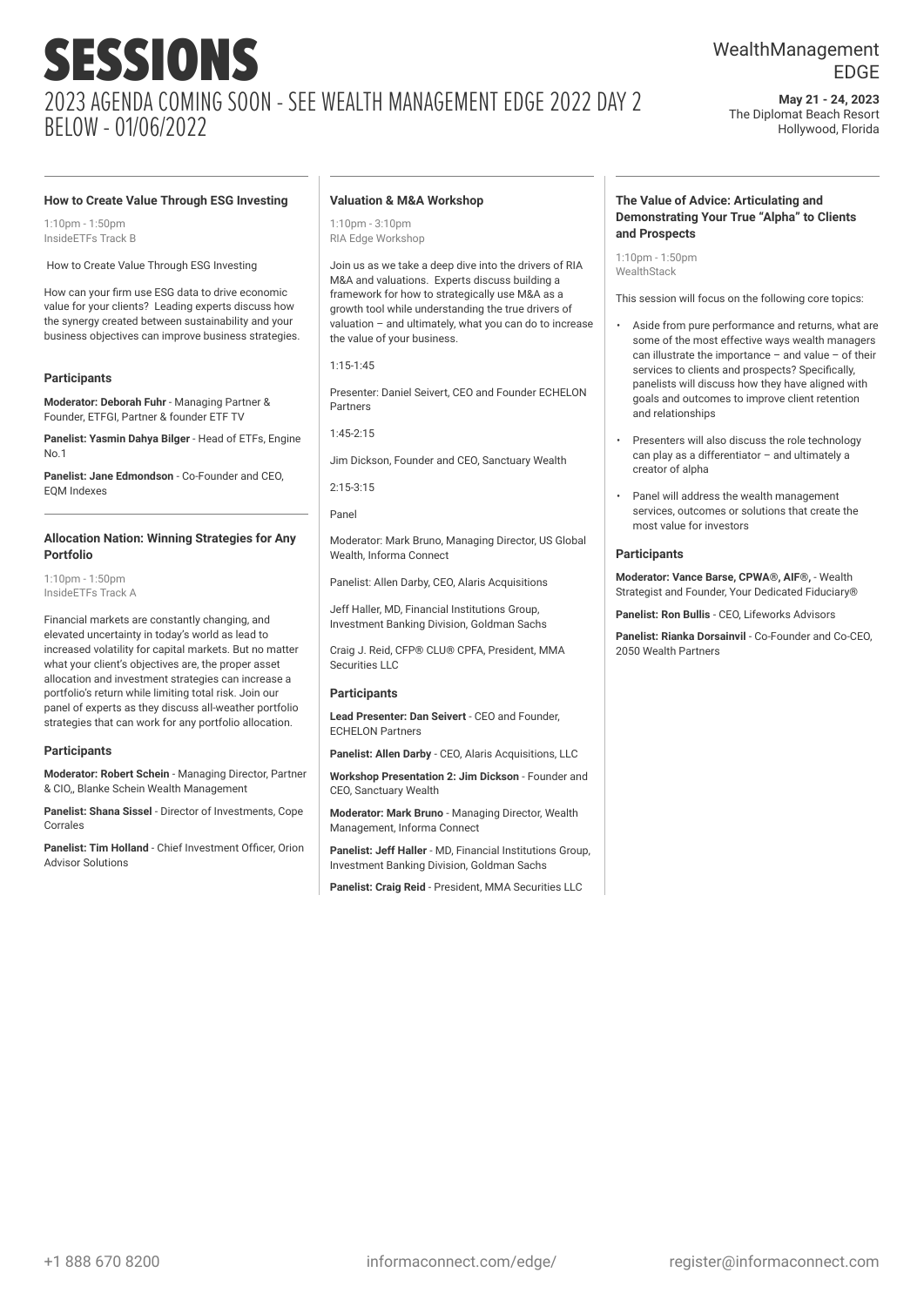## WealthManagement EDGE

**May 21 - 24, 2023** The Diplomat Beach Resort Hollywood, Florida

#### **How to Create Value Through ESG Investing**

 $1:10$ pm -  $1:50$ pm InsideETFs Track B

How to Create Value Through ESG Investing

How can your firm use ESG data to drive economic value for your clients? Leading experts discuss how the synergy created between sustainability and your business objectives can improve business strategies.

#### **Participants**

**Moderator: Deborah Fuhr** - Managing Partner & Founder, ETFGI, Partner & founder ETF TV

**Panelist: Yasmin Dahya Bilger** - Head of ETFs, Engine No.1

**Panelist: Jane Edmondson** - Co-Founder and CEO, EQM Indoxes

#### **Allocation Nation: Winning Strategies for Any Portfolio**

1:10pm - 1:50pm InsideETFs Track A

Financial markets are constantly changing, and elevated uncertainty in today's world as lead to increased volatility for capital markets. But no matter what your client's objectives are, the proper asset allocation and investment strategies can increase a portfolio's return while limiting total risk. Join our panel of experts as they discuss all-weather portfolio strategies that can work for any portfolio allocation.

#### **Participants**

**Moderator: Robert Schein** - Managing Director, Partner & CIO,, Blanke Schein Wealth Management

**Panelist: Shana Sissel** - Director of Investments, Cope Corrales

**Panelist: Tim Holland** - Chief Investment Officer, Orion Advisor Solutions

#### **Valuation & M&A Workshop**

 $1:10$ pm -  $3:10$ pm RIA Edge Workshop

Join us as we take a deep dive into the drivers of RIA M&A and valuations. Experts discuss building a framework for how to strategically use M&A as a growth tool while understanding the true drivers of valuation – and ultimately, what you can do to increase the value of your business.

1:15-1:45

Presenter: Daniel Seivert, CEO and Founder ECHELON Partners

 $1:45-2:15$ 

Jim Dickson, Founder and CEO, Sanctuary Wealth

2:15-3:15

Panel

Moderator: Mark Bruno, Managing Director, US Global Wealth, Informa Connect

Panelist: Allen Darby, CEO, Alaris Acquisitions

Jeff Haller, MD, Financial Institutions Group, Investment Banking Division, Goldman Sachs

Craig J. Reid, CEP® CLU® CPFA, President, MMA Securities LLC

#### **Participants**

**Lead Presenter: Dan Seivert** - CEO and Founder, ECHELON Partners

**Panelist: Allen Darby** - CEO, Alaris Acquisitions, LLC

**Workshop Presentation 2: Jim Dickson** - Founder and CEO, Sanctuary Wealth

**Moderator: Mark Bruno** - Managing Director, Wealth Management, Informa Connect

**Panelist: Jeff Haller** - MD, Financial Institutions Group, Investment Banking Division, Goldman Sachs

**Panelist: Craig Reid** - President, MMA Securities LLC

#### **The Value of Advice: Articulating and Demonstrating Your True "Alpha" to Clients and Prospects**

1:10pm - 1:50pm **WealthStack** 

This session will focus on the following core topics:

- Aside from pure performance and returns, what are some of the most effective ways wealth managers can illustrate the importance – and value – of their services to clients and prospects? Specifically, panelists will discuss how they have aligned with goals and outcomes to improve client retention and relationships
- Presenters will also discuss the role technology can play as a differentiator – and ultimately a creator of alpha
- Panel will address the wealth management services, outcomes or solutions that create the most value for investors

#### **Participants**

**Moderator: Vance Barse, CPWA®, AIF®,** - Wealth Strategist and Founder, Your Dedicated Fiduciary®

**Panelist: Ron Bullis** - CEO, Lifeworks Advisors

**Panelist: Rianka Dorsainvil** - Co-Founder and Co-CEO, 2050 Wealth Partners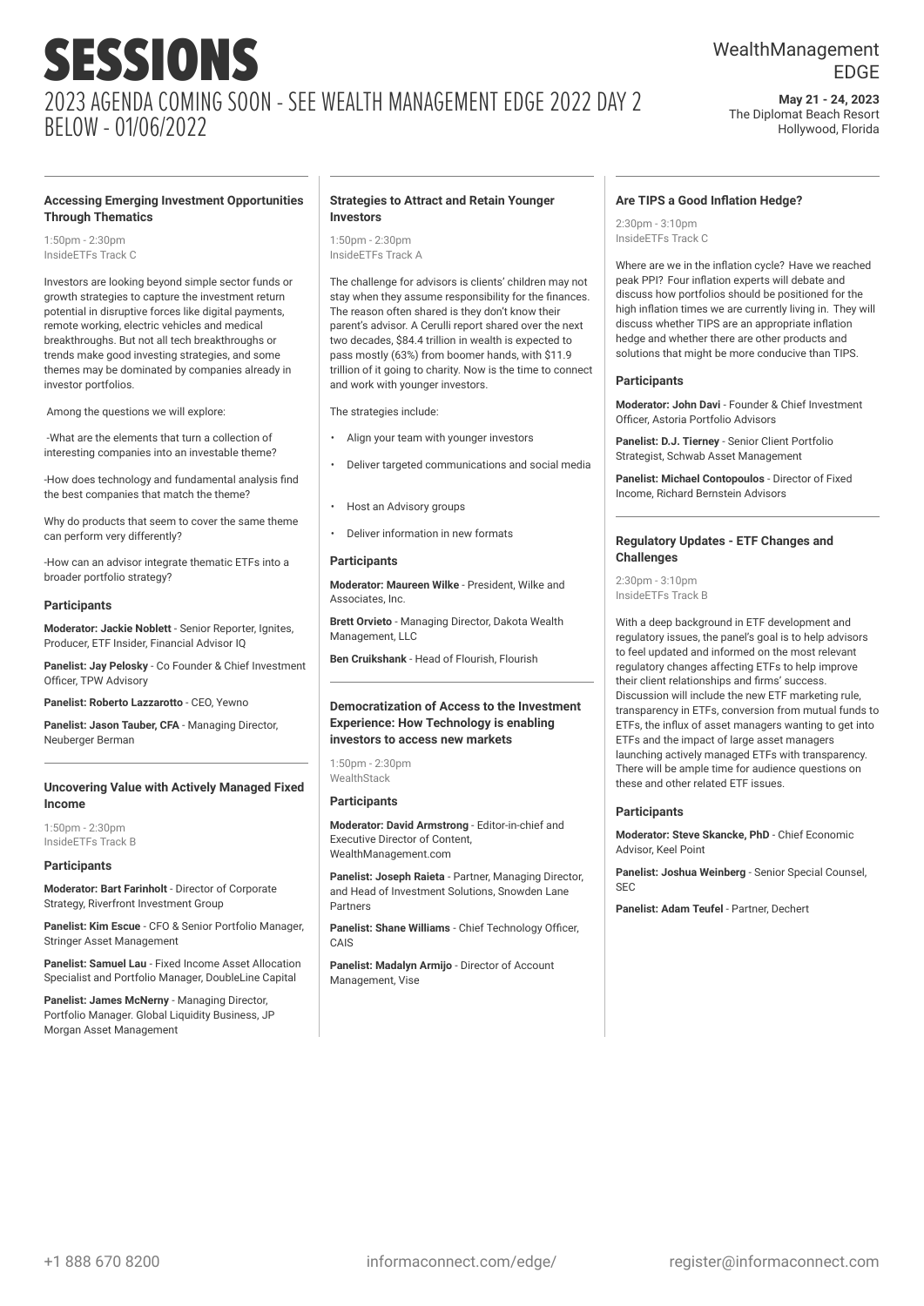## WealthManagement EDGE

**May 21 - 24, 2023** The Diplomat Beach Resort Hollywood, Florida

#### **Accessing Emerging Investment Opportunities Through Thematics**

1:50pm - 2:30pm InsideETFs Track C

Investors are looking beyond simple sector funds or growth strategies to capture the investment return potential in disruptive forces like digital payments, remote working, electric vehicles and medical breakthroughs. But not all tech breakthroughs or trends make good investing strategies, and some themes may be dominated by companies already in investor portfolios.

Among the questions we will explore:

-What are the elements that turn a collection of interesting companies into an investable theme?

-How does technology and fundamental analysis find the best companies that match the theme?

Why do products that seem to cover the same theme can perform very differently?

-How can an advisor integrate thematic ETFs into a broader portfolio strategy?

#### **Participants**

**Moderator: Jackie Noblett** - Senior Reporter, Ignites, Producer, ETF Insider, Financial Advisor IQ

**Panelist: Jay Pelosky** - Co Founder & Chief Investment Officer, TPW Advisory

**Panelist: Roberto Lazzarotto** - CEO, Yewno

**Panelist: Jason Tauber, CFA** - Managing Director, Neuberger Berman

#### **Uncovering Value with Actively Managed Fixed Income**

1:50pm - 2:30pm InsideETFs Track B

#### **Participants**

**Moderator: Bart Farinholt** - Director of Corporate Strategy, Riverfront Investment Group

**Panelist: Kim Escue** - CFO & Senior Portfolio Manager, Stringer Asset Management

**Panelist: Samuel Lau** - Fixed Income Asset Allocation Specialist and Portfolio Manager, DoubleLine Capital

**Panelist: James McNerny** - Managing Director, Portfolio Manager. Global Liquidity Business, JP Morgan Asset Management

#### **Strategies to Attract and Retain Younger Investors**

1:50pm - 2:30pm InsideETFs Track A

The challenge for advisors is clients' children may not stay when they assume responsibility for the finances. The reason often shared is they don't know their parent's advisor. A Cerulli report shared over the next two decades, \$84.4 trillion in wealth is expected to pass mostly (63%) from boomer hands, with \$11.9 trillion of it going to charity. Now is the time to connect and work with younger investors.

The strategies include:

- Align your team with younger investors
- Deliver targeted communications and social media
- Host an Advisory groups
- Deliver information in new formats

#### **Participants**

**Moderator: Maureen Wilke** - President, Wilke and Associates, Inc.

**Brett Orvieto** - Managing Director, Dakota Wealth Management, LLC

**Ben Cruikshank** - Head of Flourish, Flourish

#### **Democratization of Access to the Investment Experience: How Technology is enabling investors to access new markets**

 $1:50$ pm - 2:30pm WealthStack

#### **Participants**

**Moderator: David Armstrong** - Editor-in-chief and Executive Director of Content, WealthManagement.com

**Panelist: Joseph Raieta** - Partner, Managing Director, and Head of Investment Solutions, Snowden Lane Partners

**Panelist: Shane Williams** - Chief Technology Officer, **CAIS** 

**Panelist: Madalyn Armijo** - Director of Account Management, Vise

#### **Are TIPS a Good Inflation Hedge?**

 $2:30$ pm -  $3:10$ pm InsideETFs Track C

Where are we in the inflation cycle? Have we reached peak PPI? Four inflation experts will debate and discuss how portfolios should be positioned for the high inflation times we are currently living in. They will discuss whether TIPS are an appropriate inflation hedge and whether there are other products and solutions that might be more conducive than TIPS.

#### **Participants**

**Moderator: John Davi** - Founder & Chief Investment Officer, Astoria Portfolio Advisors

**Panelist: D.J. Tierney** - Senior Client Portfolio Strategist, Schwab Asset Management

**Panelist: Michael Contopoulos** - Director of Fixed Income, Richard Bernstein Advisors

#### **Regulatory Updates - ETF Changes and Challenges**

 $2:30$ pm -  $3:10$ pm InsideETFs Track B

With a deep background in ETF development and regulatory issues, the panel's goal is to help advisors to feel updated and informed on the most relevant regulatory changes affecting ETFs to help improve their client relationships and firms' success. Discussion will include the new ETF marketing rule, transparency in ETFs, conversion from mutual funds to ETFs, the influx of asset managers wanting to get into ETFs and the impact of large asset managers launching actively managed ETFs with transparency. There will be ample time for audience questions on these and other related ETF issues.

#### **Participants**

**Moderator: Steve Skancke, PhD** - Chief Economic Advisor, Keel Point

**Panelist: Joshua Weinberg** - Senior Special Counsel, SEC

**Panelist: Adam Teufel** - Partner, Dechert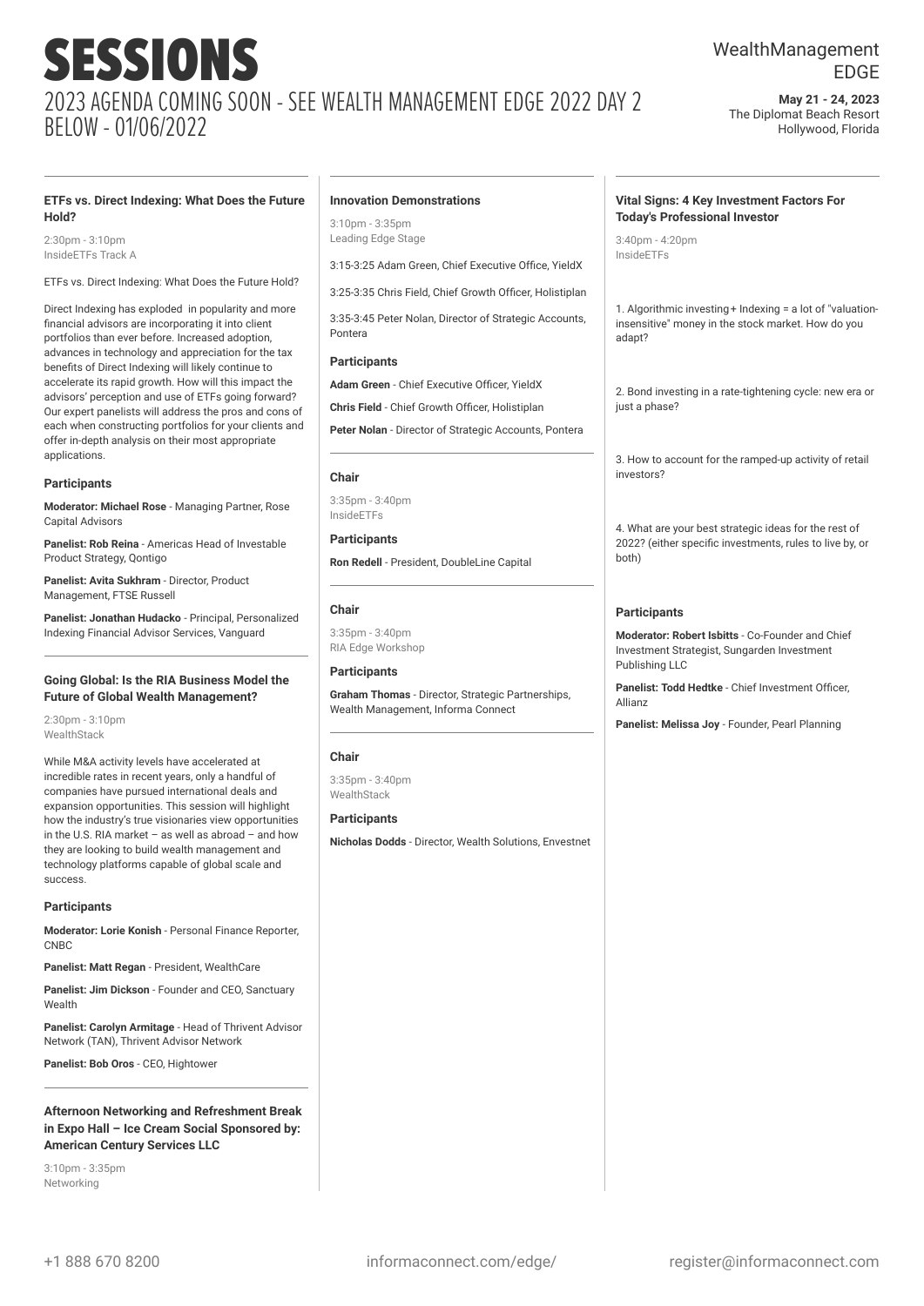## WealthManagement EDGE

**May 21 - 24, 2023** The Diplomat Beach Resort Hollywood, Florida

#### **ETFs vs. Direct Indexing: What Does the Future Hold?**

2:30pm - 3:10pm InsideETFs Track A

ETFs vs. Direct Indexing: What Does the Future Hold?

Direct Indexing has exploded in popularity and more financial advisors are incorporating it into client portfolios than ever before. Increased adoption, advances in technology and appreciation for the tax benefits of Direct Indexing will likely continue to accelerate its rapid growth. How will this impact the advisors' perception and use of ETFs going forward? Our expert panelists will address the pros and cons of each when constructing portfolios for your clients and offer in-depth analysis on their most appropriate applications.

#### **Participants**

**Moderator: Michael Rose** - Managing Partner, Rose Capital Advisors

**Panelist: Rob Reina** - Americas Head of Investable Product Strategy, Qontigo

**Panelist: Avita Sukhram** - Director, Product Management, FTSE Russell

**Panelist: Jonathan Hudacko** - Principal, Personalized Indexing Financial Advisor Services, Vanguard

#### **Going Global: Is the RIA Business Model the Future of Global Wealth Management?**

 $2:30$ pm -  $3:10$ pm WealthStack

While M&A activity levels have accelerated at incredible rates in recent years, only a handful of companies have pursued international deals and expansion opportunities. This session will highlight how the industry's true visionaries view opportunities in the U.S. RIA market – as well as abroad – and how they are looking to build wealth management and technology platforms capable of global scale and success.

#### **Participants**

**Moderator: Lorie Konish** - Personal Finance Reporter, CNBC

**Panelist: Matt Regan** - President, WealthCare

**Panelist: Jim Dickson** - Founder and CEO, Sanctuary Wealth

**Panelist: Carolyn Armitage** - Head of Thrivent Advisor Network (TAN), Thrivent Advisor Network

**Panelist: Bob Oros - CEO, Hightower** 

**Afternoon Networking and Refreshment Break in Expo Hall – Ice Cream Social Sponsored by: American Century Services LLC**

3:10pm - 3:35pm Networking

#### **Innovation Demonstrations**

3:10pm - 3:35pm Leading Edge Stage

3:15-3:25 Adam Green, Chief Executive Office, YieldX

3:25-3:35 Chris Field, Chief Growth Officer, Holistiplan

3:35-3:45 Peter Nolan, Director of Strategic Accounts, Pontera

#### **Participants**

**Adam Green** - Chief Executive Officer, YieldX

**Chris Field** - Chief Growth Officer, Holistiplan

**Peter Nolan** - Director of Strategic Accounts, Pontera

#### **Chair**

3:35pm - 3:40pm InsideETFs

**Participants Ron Redell** - President, DoubleLine Capital

#### **Chair**

3:35pm - 3:40pm RIA Edge Workshop

**Participants Graham Thomas** - Director, Strategic Partnerships, Wealth Management, Informa Connect

#### **Chair**

3:35pm - 3:40pm **WealthStack** 

**Participants Nicholas Dodds** - Director, Wealth Solutions, Envestnet

#### **Vital Signs: 4 Key Investment Factors For Today's Professional Investor**

3:40pm - 4:20pm InsideETFs

1. Algorithmic investing+ Indexing = a lot of "valuationinsensitive" money in the stock market. How do you adapt?

2. Bond investing in a rate-tightening cycle: new era or just a phase?

3. How to account for the ramped-up activity of retail investors?

4. What are your best strategic ideas for the rest of 2022? (either specific investments, rules to live by, or both)

#### **Participants**

**Moderator: Robert Isbitts** - Co-Founder and Chief Investment Strategist, Sungarden Investment Publishing LLC

**Panelist: Todd Hedtke** - Chief Investment Officer, Allianz

**Panelist: Melissa Joy** - Founder, Pearl Planning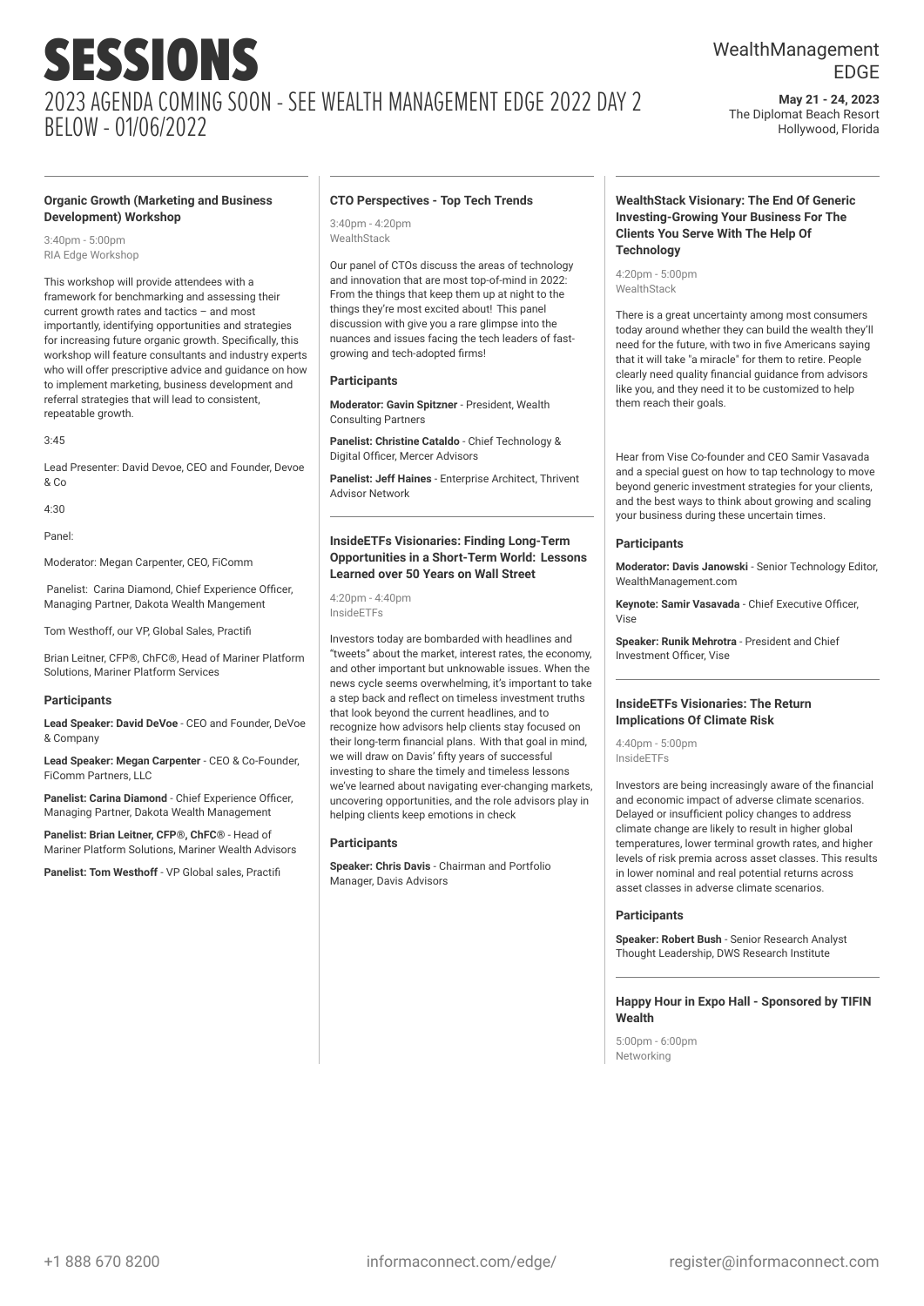#### **Organic Growth (Marketing and Business Development) Workshop**

3:40pm - 5:00pm RIA Edge Workshop

This workshop will provide attendees with a framework for benchmarking and assessing their current growth rates and tactics – and most importantly, identifying opportunities and strategies for increasing future organic growth. Specifically, this workshop will feature consultants and industry experts who will offer prescriptive advice and guidance on how to implement marketing, business development and referral strategies that will lead to consistent, repeatable growth.

#### $3.45$

Lead Presenter: David Devoe, CEO and Founder, Devoe & Co

4:30

Panel:

Moderator: Megan Carpenter, CEO, FiComm

Panelist: Carina Diamond, Chief Experience Officer, Managing Partner, Dakota Wealth Mangement

Tom Westhoff, our VP, Global Sales, Practifi

Brian Leitner, CFP®, ChFC®, Head of Mariner Platform Solutions, Mariner Platform Services

#### **Participants**

**Lead Speaker: David DeVoe** - CEO and Founder, DeVoe & Company

**Lead Speaker: Megan Carpenter** - CEO & Co-Founder, FiComm Partners, LLC

**Panelist: Carina Diamond - Chief Experience Officer** Managing Partner, Dakota Wealth Management

**Panelist: Brian Leitner, CFP®, ChFC®** - Head of Mariner Platform Solutions, Mariner Wealth Advisors

**Panelist: Tom Westhoff** - VP Global sales, Practifi

#### **CTO Perspectives - Top Tech Trends**

 $3:40$ pm - 4:20pm WealthStack

Our panel of CTOs discuss the areas of technology and innovation that are most top-of-mind in 2022: From the things that keep them up at night to the things they're most excited about! This panel discussion with give you a rare glimpse into the nuances and issues facing the tech leaders of fastgrowing and tech-adopted firms!

#### **Participants**

**Moderator: Gavin Spitzner** - President, Wealth Consulting Partners

**Panelist: Christine Cataldo** - Chief Technology & Digital Officer, Mercer Advisors

**Panelist: Jeff Haines** - Enterprise Architect, Thrivent Advisor Network

#### **InsideETFs Visionaries: Finding Long-Term Opportunities in a Short-Term World: Lessons Learned over 50 Years on Wall Street**

4:20pm - 4:40pm InsideETFs

Investors today are bombarded with headlines and "tweets" about the market, interest rates, the economy, and other important but unknowable issues. When the news cycle seems overwhelming, it's important to take a step back and reflect on timeless investment truths that look beyond the current headlines, and to recognize how advisors help clients stay focused on their long-term financial plans. With that goal in mind, we will draw on Davis' fifty years of successful investing to share the timely and timeless lessons we've learned about navigating ever-changing markets, uncovering opportunities, and the role advisors play in helping clients keep emotions in check

#### **Participants**

**Speaker: Chris Davis** - Chairman and Portfolio Manager, Davis Advisors

## WealthManagement EDGE

**May 21 - 24, 2023** The Diplomat Beach Resort Hollywood, Florida

#### **WealthStack Visionary: The End Of Generic Investing-Growing Your Business For The Clients You Serve With The Help Of Technology**

4:20pm - 5:00pm **WealthStack** 

There is a great uncertainty among most consumers today around whether they can build the wealth they'll need for the future, with two in five Americans saying that it will take "a miracle" for them to retire. People clearly need quality financial guidance from advisors like you, and they need it to be customized to help them reach their goals.

Hear from Vise Co-founder and CEO Samir Vasavada and a special guest on how to tap technology to move beyond generic investment strategies for your clients, and the best ways to think about growing and scaling your business during these uncertain times.

#### **Participants**

**Moderator: Davis Janowski** - Senior Technology Editor, WealthManagement.com

**Keynote: Samir Vasavada** - Chief Executive Officer, Vise

**Speaker: Runik Mehrotra** - President and Chief Investment Officer, Vise

#### **InsideETFs Visionaries: The Return Implications Of Climate Risk**

4:40pm - 5:00pm InsideETFs

Investors are being increasingly aware of the financial and economic impact of adverse climate scenarios. Delayed or insufficient policy changes to address climate change are likely to result in higher global temperatures, lower terminal growth rates, and higher levels of risk premia across asset classes. This results in lower nominal and real potential returns across asset classes in adverse climate scenarios.

#### **Participants**

**Speaker: Robert Bush** - Senior Research Analyst Thought Leadership, DWS Research Institute

#### **Happy Hour in Expo Hall - Sponsored by TIFIN Wealth**

5:00pm - 6:00pm Networking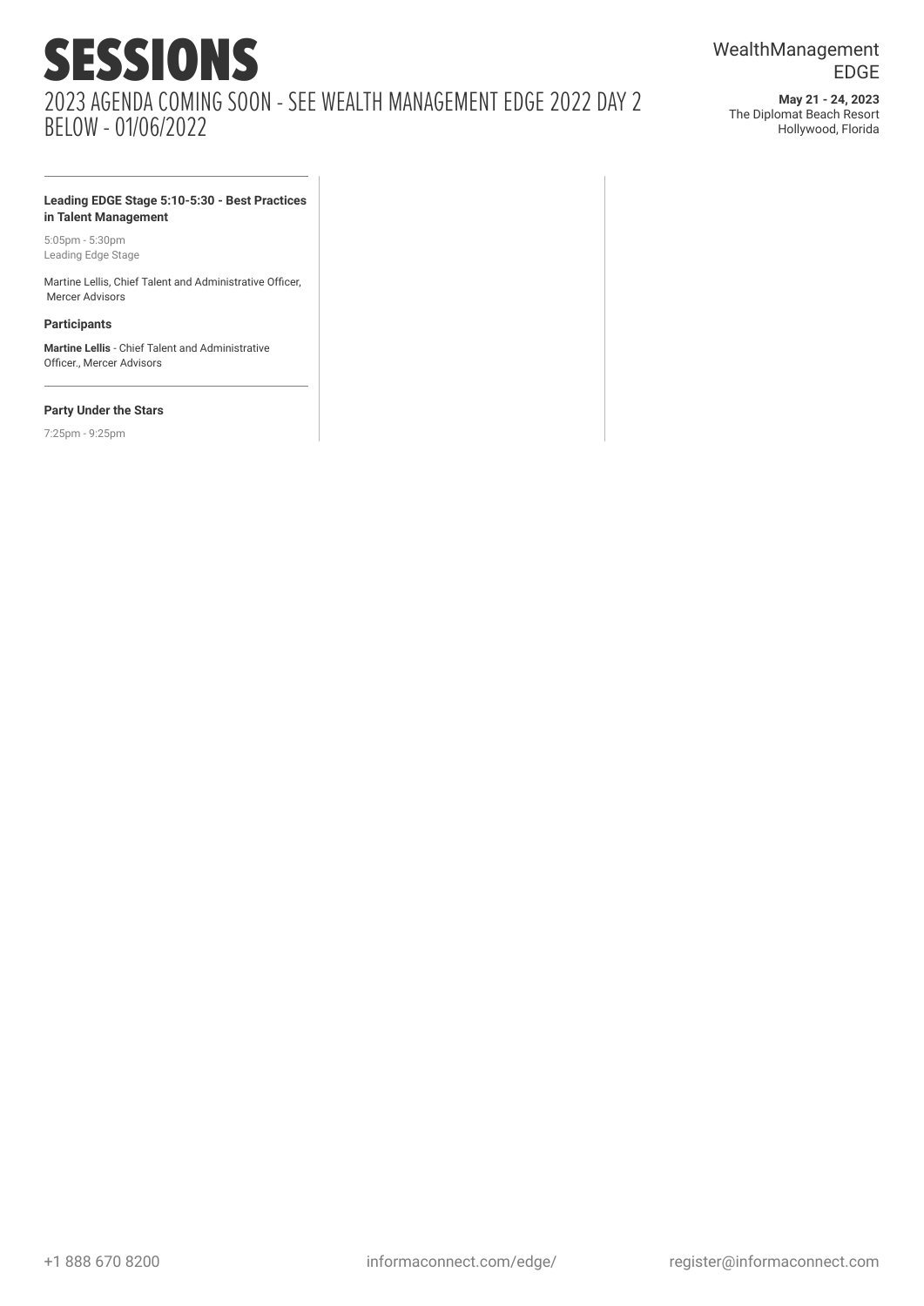**May 21 - 24, 2023** The Diplomat Beach Resort Hollywood, Florida

#### **Leading EDGE Stage 5:10-5:30 - Best Practices in Talent Management**

5:05pm - 5:30pm Leading Edge Stage

Martine Lellis, Chief Talent and Administrative Officer, Mercer Advisors

#### **Participants**

**Martine Lellis** - Chief Talent and Administrative Officer., Mercer Advisors

#### **Party Under the Stars**

7:25pm - 9:25pm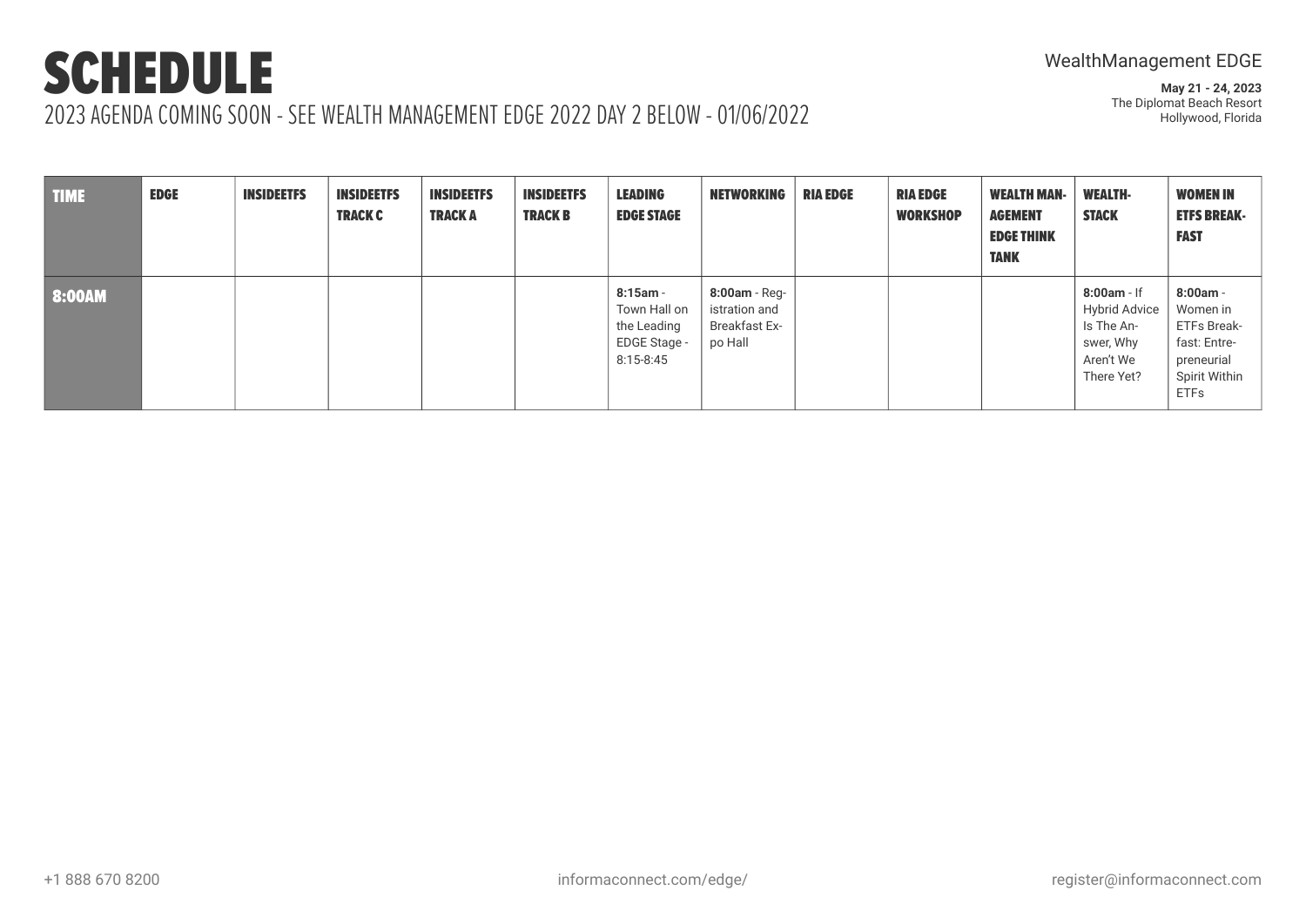**May 21 - 24, 2023** The Diplomat Beach Resort Hollywood, Florida

TIME EDGE INSIDEETFS INSIDEETFS TRACK C INSIDEETFS TRACK A INSIDEETFS TRACK B LEADING EDGE STAGE NETWORKING RIA EDGE RIA EDGE **WORKSHOP** WEALTH MAN-AGEMENT EDGE THINK TANK WEALTH-**STACK** WOMEN IN ETFS BREAK-FAST 8:00AM **8:15am** - **8:15am** - **8:15am** - **8:15am** - **8:15am** - **8:15am** - **8:15am** -Town Hall on the Leading EDGE Stage - 8:15-8:45 **8:00am** - Registration and Breakfast Expo Hall **8:00am** - If Hybrid Advice Is The Answer, Why Aren't We There Yet? **8:00am** - Women in ETFs Breakfast: Entrepreneurial Spirit Within ETFs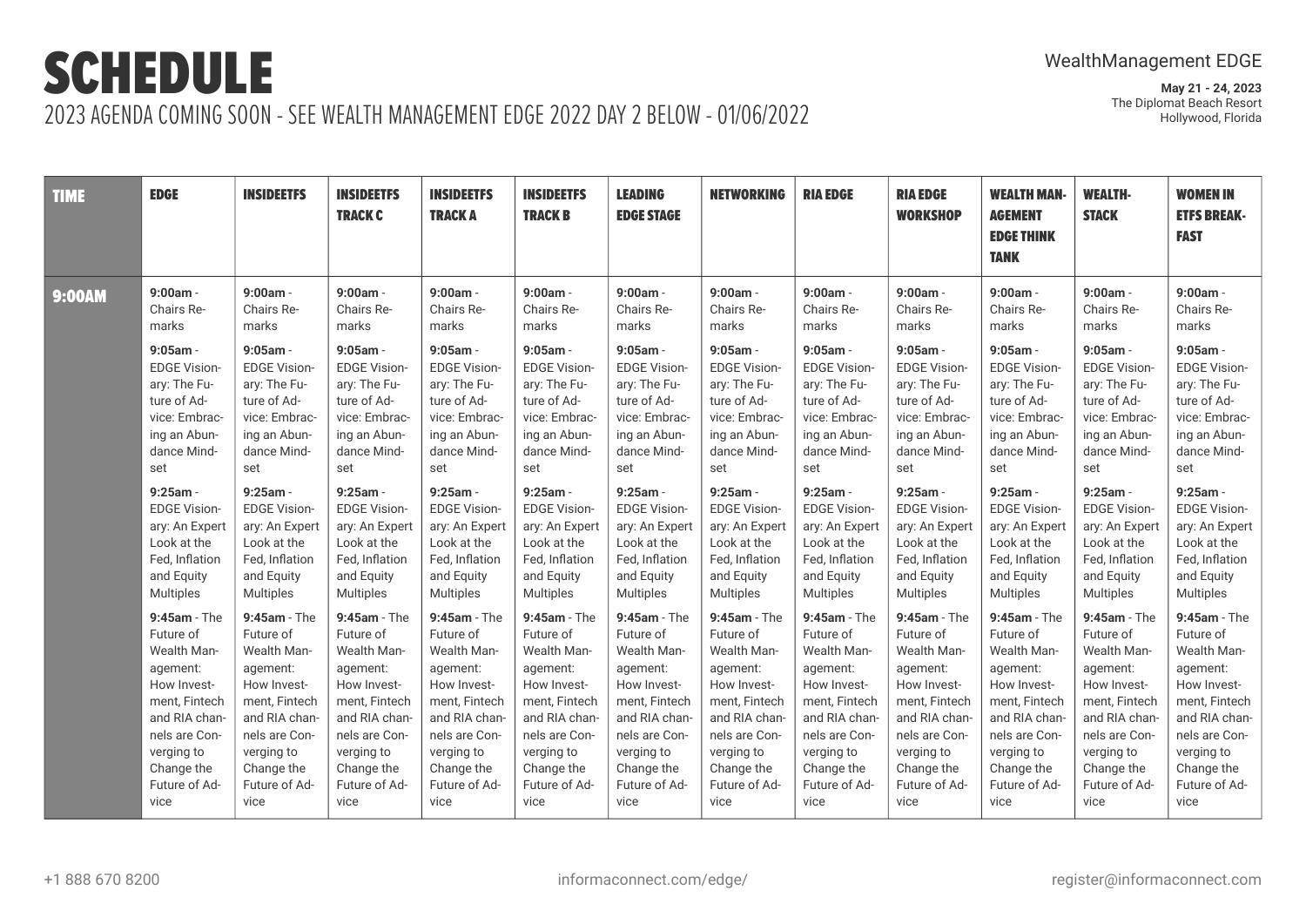| <b>TIME</b>   | <b>EDGE</b>         | <b>INSIDEETFS</b>   | <b>INSIDEETFS</b><br><b>TRACK C</b> | <b>INSIDEETFS</b><br><b>TRACKA</b> | <b>INSIDEETFS</b><br><b>TRACK B</b> | <b>LEADING</b><br><b>EDGE STAGE</b> | <b>NETWORKING</b>   | <b>RIA EDGE</b>     | <b>RIA EDGE</b><br><b>WORKSHOP</b> | <b>WEALTH MAN-</b><br><b>AGEMENT</b><br><b>EDGE THINK</b><br><b>TANK</b> | <b>WEALTH-</b><br><b>STACK</b> | <b>WOMEN IN</b><br><b>ETFS BREAK-</b><br><b>FAST</b> |
|---------------|---------------------|---------------------|-------------------------------------|------------------------------------|-------------------------------------|-------------------------------------|---------------------|---------------------|------------------------------------|--------------------------------------------------------------------------|--------------------------------|------------------------------------------------------|
| <b>9:00AM</b> | $9:00am -$          | $9:00am -$          | 9:00am -                            | $9:00am -$                         | 9:00am -                            | $9:00am -$                          | $9:00am -$          | $9:00am -$          | $9:00am -$                         | $9:00am -$                                                               | $9:00am -$                     | $9:00am -$                                           |
|               | Chairs Re-          | Chairs Re-          | Chairs Re-                          | Chairs Re-                         | Chairs Re-                          | Chairs Re-                          | Chairs Re-          | Chairs Re-          | Chairs Re-                         | Chairs Re-                                                               | Chairs Re-                     | Chairs Re-                                           |
|               | marks               | marks               | marks                               | marks                              | marks                               | marks                               | marks               | marks               | marks                              | marks                                                                    | marks                          | marks                                                |
|               | $9:05am -$          | $9:05am -$          | $9:05am -$                          | $9:05am -$                         | $9:05am -$                          | $9:05$ am -                         | $9:05am -$          | $9:05$ am -         | $9:05am -$                         | $9:05am -$                                                               | $9:05$ am -                    | $9:05am -$                                           |
|               | <b>EDGE Vision-</b> | <b>EDGE Vision-</b> | <b>EDGE Vision-</b>                 | <b>EDGE Vision-</b>                | <b>EDGE Vision-</b>                 | <b>EDGE Vision-</b>                 | <b>EDGE Vision-</b> | <b>EDGE Vision-</b> | <b>EDGE Vision-</b>                | <b>EDGE Vision-</b>                                                      | <b>EDGE Vision-</b>            | <b>EDGE Vision-</b>                                  |
|               | ary: The Fu-        | ary: The Fu-        | ary: The Fu-                        | ary: The Fu-                       | ary: The Fu-                        | ary: The Fu-                        | ary: The Fu-        | ary: The Fu-        | ary: The Fu-                       | ary: The Fu-                                                             | ary: The Fu-                   | ary: The Fu-                                         |
|               | ture of Ad-         | ture of Ad-         | ture of Ad-                         | ture of Ad-                        | ture of Ad-                         | ture of Ad-                         | ture of Ad-         | ture of Ad-         | ture of Ad-                        | ture of Ad-                                                              | ture of Ad-                    | ture of Ad-                                          |
|               | vice: Embrac-       | vice: Embrac-       | vice: Embrac-                       | vice: Embrac-                      | vice: Embrac-                       | vice: Embrac-                       | vice: Embrac-       | vice: Embrac-       | vice: Embrac-                      | vice: Embrac-                                                            | vice: Embrac-                  | vice: Embrac-                                        |
|               | ing an Abun-        | ing an Abun-        | ing an Abun-                        | ing an Abun-                       | ing an Abun-                        | ing an Abun-                        | ing an Abun-        | ing an Abun-        | ing an Abun-                       | ing an Abun-                                                             | ing an Abun-                   | ing an Abun-                                         |
|               | dance Mind-         | dance Mind-         | dance Mind-                         | dance Mind-                        | dance Mind-                         | dance Mind-                         | dance Mind-         | dance Mind-         | dance Mind-                        | dance Mind-                                                              | dance Mind-                    | dance Mind-                                          |
|               | set                 | set                 | set                                 | set                                | set                                 | set                                 | set                 | set                 | set                                | set                                                                      | set                            | set                                                  |
|               | $9:25$ am -         | $9:25am -$          | $9:25am -$                          | $9:25am -$                         | $9:25$ am -                         | $9:25am -$                          | $9:25am -$          | $9:25am -$          | $9:25am -$                         | $9:25am -$                                                               | $9:25am -$                     | $9:25am -$                                           |
|               | <b>EDGE Vision-</b> | <b>EDGE Vision-</b> | <b>EDGE Vision-</b>                 | <b>EDGE Vision-</b>                | <b>EDGE Vision-</b>                 | <b>EDGE Vision-</b>                 | <b>EDGE Vision-</b> | <b>EDGE Vision-</b> | <b>EDGE Vision-</b>                | <b>EDGE Vision-</b>                                                      | <b>EDGE Vision-</b>            | <b>EDGE Vision-</b>                                  |
|               | ary: An Expert      | ary: An Expert      | ary: An Expert                      | ary: An Expert                     | ary: An Expert                      | ary: An Expert                      | ary: An Expert      | ary: An Expert      | ary: An Expert                     | ary: An Expert                                                           | ary: An Expert                 | ary: An Expert                                       |
|               | Look at the         | Look at the         | Look at the                         | Look at the                        | Look at the                         | Look at the                         | Look at the         | Look at the         | Look at the                        | Look at the                                                              | Look at the                    | Look at the                                          |
|               | Fed, Inflation      | Fed, Inflation      | Fed, Inflation                      | Fed, Inflation                     | Fed, Inflation                      | Fed, Inflation                      | Fed, Inflation      | Fed, Inflation      | Fed, Inflation                     | Fed, Inflation                                                           | Fed, Inflation                 | Fed, Inflation                                       |
|               | and Equity          | and Equity          | and Equity                          | and Equity                         | and Equity                          | and Equity                          | and Equity          | and Equity          | and Equity                         | and Equity                                                               | and Equity                     | and Equity                                           |
|               | Multiples           | <b>Multiples</b>    | <b>Multiples</b>                    | <b>Multiples</b>                   | <b>Multiples</b>                    | <b>Multiples</b>                    | <b>Multiples</b>    | Multiples           | <b>Multiples</b>                   | <b>Multiples</b>                                                         | <b>Multiples</b>               | <b>Multiples</b>                                     |
|               | $9:45am - The$      | $9:45am - The$      | $9:45am - The$                      | $9:45am - The$                     | $9:45am - The$                      | $9:45am - The$                      | $9:45am - The$      | $9:45am - The$      | $9:45am - The$                     | $9:45am - The$                                                           | $9:45am - The$                 | $9:45am - The$                                       |
|               | Future of           | Future of           | Future of                           | Future of                          | Future of                           | Future of                           | Future of           | Future of           | Future of                          | Future of                                                                | Future of                      | Future of                                            |
|               | Wealth Man-         | <b>Wealth Man-</b>  | Wealth Man-                         | Wealth Man-                        | Wealth Man-                         | Wealth Man-                         | <b>Wealth Man-</b>  | Wealth Man-         | Wealth Man-                        | Wealth Man-                                                              | Wealth Man-                    | Wealth Man-                                          |
|               | agement:            | agement:            | agement:                            | agement:                           | agement:                            | agement:                            | agement:            | agement:            | agement:                           | agement:                                                                 | agement:                       | agement:                                             |
|               | How Invest-         | How Invest-         | How Invest-                         | How Invest-                        | How Invest-                         | How Invest-                         | How Invest-         | How Invest-         | How Invest-                        | How Invest-                                                              | How Invest-                    | How Invest-                                          |
|               | ment, Fintech       | ment, Fintech       | ment, Fintech                       | ment, Fintech                      | ment, Fintech                       | ment, Fintech                       | ment, Fintech       | ment, Fintech       | ment, Fintech                      | ment, Fintech                                                            | ment, Fintech                  | ment, Fintech                                        |
|               | and RIA chan-       | and RIA chan-       | and RIA chan-                       | and RIA chan-                      | and RIA chan-                       | and RIA chan-                       | and RIA chan-       | and RIA chan-       | and RIA chan-                      | and RIA chan-                                                            | and RIA chan-                  | and RIA chan-                                        |
|               | nels are Con-       | nels are Con-       | nels are Con-                       | nels are Con-                      | nels are Con-                       | nels are Con-                       | nels are Con-       | nels are Con-       | nels are Con-                      | nels are Con-                                                            | nels are Con-                  | nels are Con-                                        |
|               | verging to          | verging to          | verging to                          | verging to                         | verging to                          | verging to                          | verging to          | verging to          | verging to                         | verging to                                                               | verging to                     | verging to                                           |
|               | Change the          | Change the          | Change the                          | Change the                         | Change the                          | Change the                          | Change the          | Change the          | Change the                         | Change the                                                               | Change the                     | Change the                                           |
|               | Future of Ad-       | Future of Ad-       | Future of Ad-                       | Future of Ad-                      | Future of Ad-                       | Future of Ad-                       | Future of Ad-       | Future of Ad-       | Future of Ad-                      | Future of Ad-                                                            | Future of Ad-                  | Future of Ad-                                        |
|               | vice                | vice                | vice                                | vice                               | vice                                | vice                                | vice                | vice                | vice                               | vice                                                                     | vice                           | vice                                                 |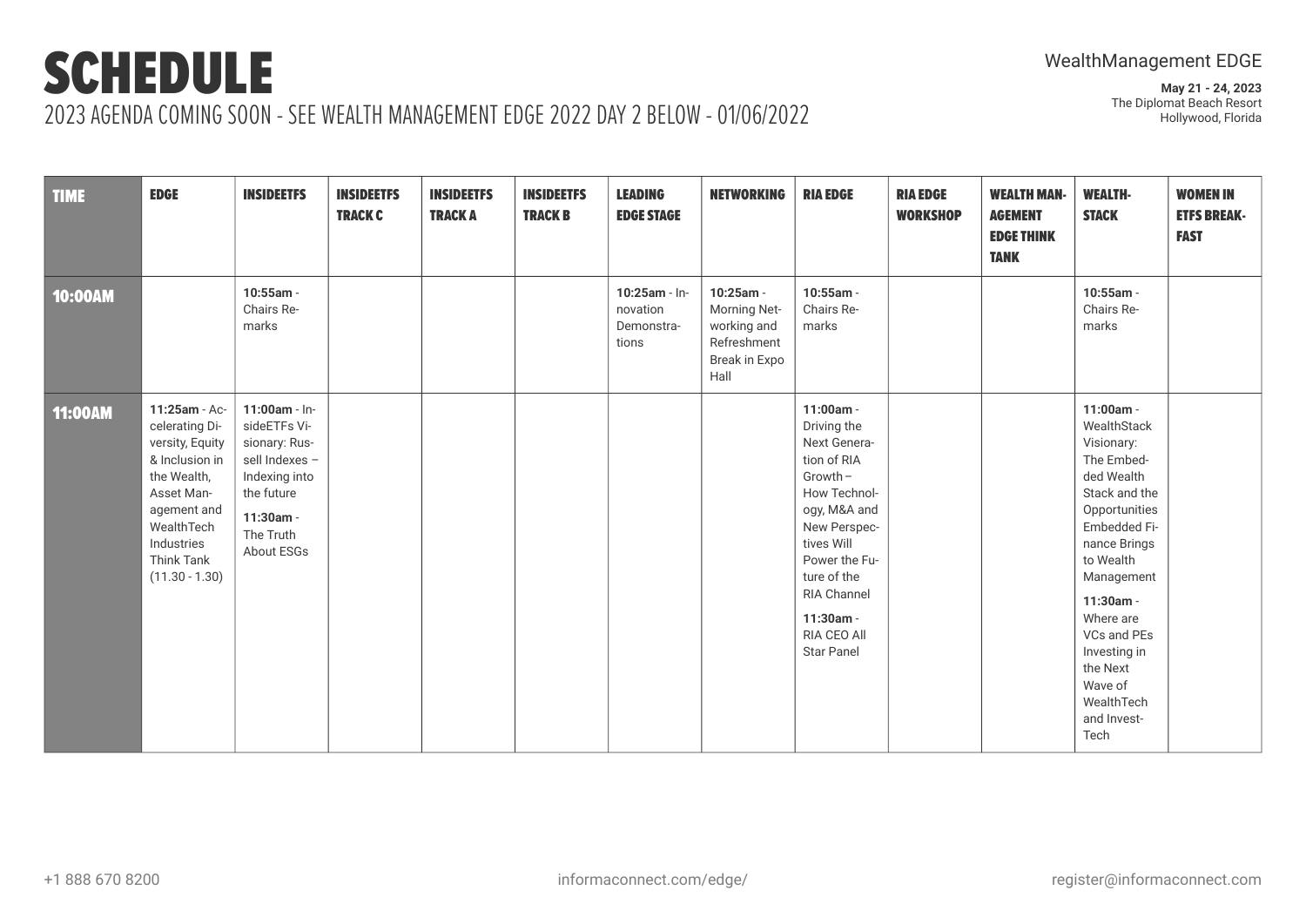**May 21 - 24, 2023** The Diplomat Beach Resort Hollywood, Florida

TIME EDGE INSIDEETFS INSIDEETFS TRACK C INSIDEETFS TRACK A INSIDEETFS TRACK B LEADING EDGE STAGE NETWORKING RIA EDGE RIA EDGE **WORKSHOP** WEALTH MAN-AGEMENT EDGE THINK TANK WEALTH-**STACK** WOMEN IN ETFS BREAK-**FAST** 10:00AM **10:55am** - Chairs Remarks **10:25am** - Innovation Demonstrations **10:25am** - Morning Networking and Refreshment Break in Expo Hall **10:55am** - Chairs Remarks **10:55am** - Chairs Remarks 11:00AM **11:25am** - Accelerating Diversity, Equity & Inclusion in the Wealth, Asset Management and WealthTech Industries Think Tank (11.30 - 1.30) **11:00am** - InsideETFs Visionary: Russell Indexes – Indexing into the future **11:30am** - The Truth About ESGs **11:00am** - Driving the Next Generation of RIA Growth– How Technology, M&A and New Perspectives Will Power the Future of the RIA Channel **11:30am** - RIA CEO All Star Panel **11:00am** - **WealthStack** Visionary: The Embedded Wealth Stack and the **Opportunities** Embedded Finance Brings to Wealth Management **11:30am** - Where are VCs and PEs Investing in the Next Wave of WealthTech and Invest-Tech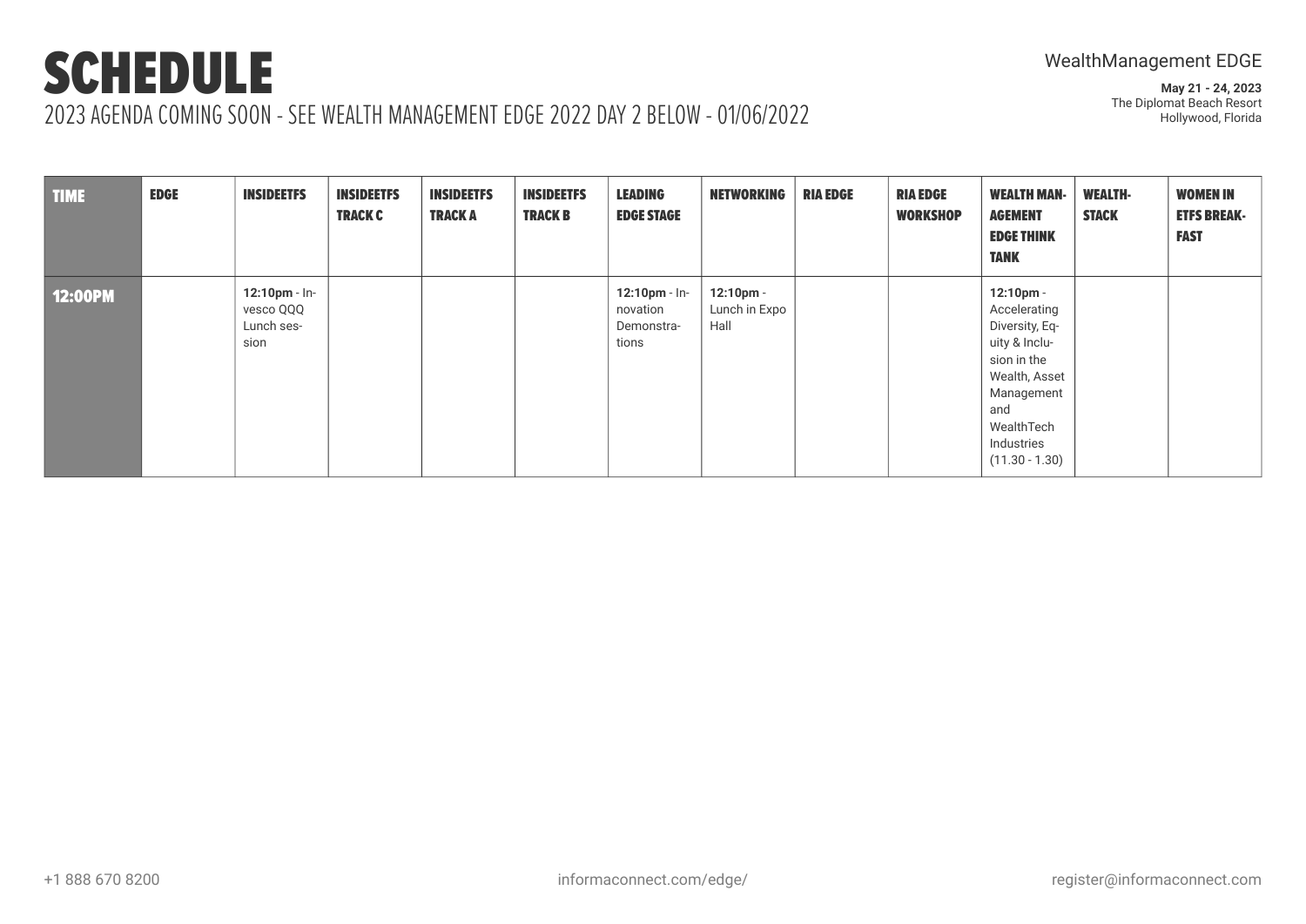# SCHEDULE

## 2023 AGENDA COMING SOON - SEE WEALTH MANAGEMENT EDGE 2022 DAY 2 BELOW - 01/06/2022

| <b>TIME</b>    | <b>EDGE</b> | <b>INSIDEETFS</b>                                   | <b>INSIDEETFS</b><br><b>TRACK C</b> | <b>INSIDEETFS</b><br><b>TRACKA</b> | <b>INSIDEETFS</b><br><b>TRACK B</b> | <b>LEADING</b><br><b>EDGE STAGE</b>                 | <b>NETWORKING</b>                  | <b>RIA EDGE</b> | <b>RIA EDGE</b><br><b>WORKSHOP</b> | <b>WEALTH MAN-</b><br><b>AGEMENT</b><br><b>EDGE THINK</b><br><b>TANK</b>                                                                                                    | <b>WEALTH-</b><br><b>STACK</b> | <b>WOMEN IN</b><br><b>ETFS BREAK-</b><br><b>FAST</b> |
|----------------|-------------|-----------------------------------------------------|-------------------------------------|------------------------------------|-------------------------------------|-----------------------------------------------------|------------------------------------|-----------------|------------------------------------|-----------------------------------------------------------------------------------------------------------------------------------------------------------------------------|--------------------------------|------------------------------------------------------|
| <b>12:00PM</b> |             | $12:10$ pm - In-<br>vesco QQQ<br>Lunch ses-<br>sion |                                     |                                    |                                     | $12:10$ pm - In-<br>novation<br>Demonstra-<br>tions | 12:10pm -<br>Lunch in Expo<br>Hall |                 |                                    | $12:10 \text{pm} -$<br>Accelerating<br>Diversity, Eq-<br>uity & Inclu-<br>sion in the<br>Wealth, Asset<br>Management<br>and<br>WealthTech<br>Industries<br>$(11.30 - 1.30)$ |                                |                                                      |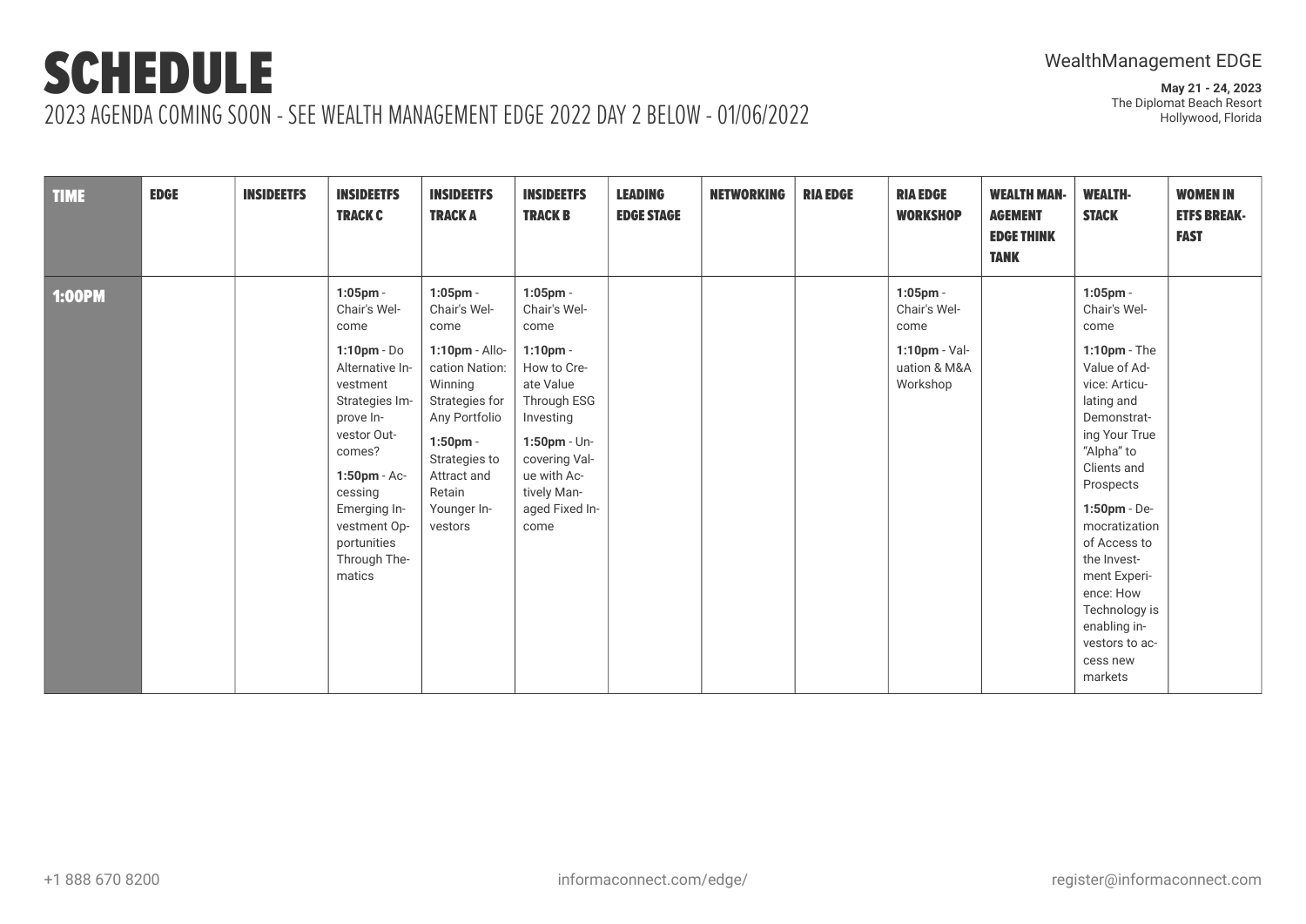# SCHEDULE

**May 21 - 24, 2023** The Diplomat Beach Resort Hollywood, Florida

## 2023 AGENDA COMING SOON - SEE WEALTH MANAGEMENT EDGE 2022 DAY 2 BELOW - 01/06/2022

| <b>TIME</b>   | <b>EDGE</b> | <b>INSIDEETFS</b> | <b>INSIDEETFS</b><br><b>TRACK C</b>                                                                                                                                                                                                              | <b>INSIDEETFS</b><br><b>TRACK A</b>                                                                                                                                                                      | <b>INSIDEETFS</b><br><b>TRACK B</b>                                                                                                                                                                 | <b>LEADING</b><br><b>EDGE STAGE</b> | <b>NETWORKING</b> | <b>RIA EDGE</b> | <b>RIA EDGE</b><br><b>WORKSHOP</b>                                            | <b>WEALTH MAN-</b><br><b>AGEMENT</b><br><b>EDGE THINK</b><br><b>TANK</b> | <b>WEALTH-</b><br><b>STACK</b>                                                                                                                                                                                                                                                                                                                         | <b>WOMEN IN</b><br><b>ETFS BREAK-</b><br><b>FAST</b> |
|---------------|-------------|-------------------|--------------------------------------------------------------------------------------------------------------------------------------------------------------------------------------------------------------------------------------------------|----------------------------------------------------------------------------------------------------------------------------------------------------------------------------------------------------------|-----------------------------------------------------------------------------------------------------------------------------------------------------------------------------------------------------|-------------------------------------|-------------------|-----------------|-------------------------------------------------------------------------------|--------------------------------------------------------------------------|--------------------------------------------------------------------------------------------------------------------------------------------------------------------------------------------------------------------------------------------------------------------------------------------------------------------------------------------------------|------------------------------------------------------|
| <b>1:00PM</b> |             |                   | 1:05pm -<br>Chair's Wel-<br>come<br>$1:10$ pm - Do<br>Alternative In-<br>vestment<br>Strategies Im-<br>prove In-<br>vestor Out-<br>comes?<br>$1:50$ pm - Ac-<br>cessing<br>Emerging In-<br>vestment Op-<br>portunities<br>Through The-<br>matics | $1:05$ pm -<br>Chair's Wel-<br>come<br>1:10pm - Allo-<br>cation Nation:<br>Winning<br>Strategies for<br>Any Portfolio<br>$1:50$ pm -<br>Strategies to<br>Attract and<br>Retain<br>Younger In-<br>vestors | 1:05pm -<br>Chair's Wel-<br>come<br>$1:10$ pm -<br>How to Cre-<br>ate Value<br>Through ESG<br>Investing<br>$1:50$ pm - Un-<br>covering Val-<br>ue with Ac-<br>tively Man-<br>aged Fixed In-<br>come |                                     |                   |                 | 1:05pm -<br>Chair's Wel-<br>come<br>1:10pm - Val-<br>uation & M&A<br>Workshop |                                                                          | $1:05$ pm -<br>Chair's Wel-<br>come<br>$1:10$ pm - The<br>Value of Ad-<br>vice: Articu-<br>lating and<br>Demonstrat-<br>ing Your True<br>"Alpha" to<br>Clients and<br>Prospects<br>1:50pm - De-<br>mocratization<br>of Access to<br>the Invest-<br>ment Experi-<br>ence: How<br>Technology is<br>enabling in-<br>vestors to ac-<br>cess new<br>markets |                                                      |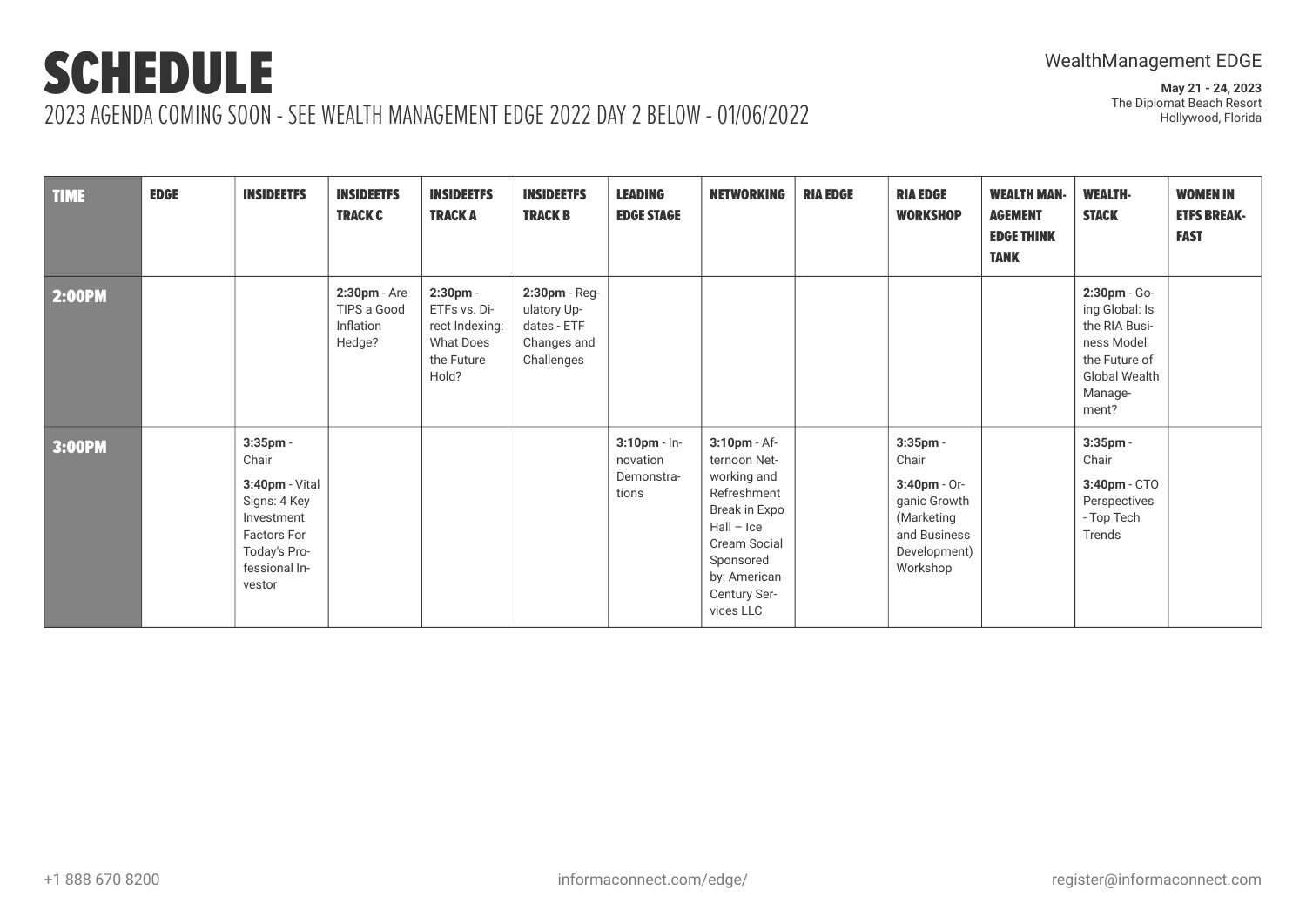| <b>TIME</b>   | <b>EDGE</b> | <b>INSIDEETFS</b>                                                                                                                     | <b>INSIDEETFS</b><br><b>TRACK C</b>                   | <b>INSIDEETFS</b><br><b>TRACKA</b>                                             | <b>INSIDEETFS</b><br><b>TRACK B</b>                                      | <b>LEADING</b><br><b>EDGE STAGE</b>                | <b>NETWORKING</b>                                                                                                                                                     | <b>RIA EDGE</b> | <b>RIA EDGE</b><br><b>WORKSHOP</b>                                                                             | <b>WEALTH MAN-</b><br><b>AGEMENT</b><br><b>EDGE THINK</b><br><b>TANK</b> | <b>WEALTH-</b><br><b>STACK</b>                                                                                             | <b>WOMEN IN</b><br><b>ETFS BREAK-</b><br><b>FAST</b> |
|---------------|-------------|---------------------------------------------------------------------------------------------------------------------------------------|-------------------------------------------------------|--------------------------------------------------------------------------------|--------------------------------------------------------------------------|----------------------------------------------------|-----------------------------------------------------------------------------------------------------------------------------------------------------------------------|-----------------|----------------------------------------------------------------------------------------------------------------|--------------------------------------------------------------------------|----------------------------------------------------------------------------------------------------------------------------|------------------------------------------------------|
| <b>2:00PM</b> |             |                                                                                                                                       | $2:30$ pm - Are<br>TIPS a Good<br>Inflation<br>Hedge? | 2:30pm -<br>ETFs vs. Di-<br>rect Indexing:<br>What Does<br>the Future<br>Hold? | 2:30pm - Reg-<br>ulatory Up-<br>dates - ETF<br>Changes and<br>Challenges |                                                    |                                                                                                                                                                       |                 |                                                                                                                |                                                                          | 2:30pm - Go-<br>ing Global: Is<br>the RIA Busi-<br>ness Model<br>the Future of<br><b>Global Wealth</b><br>Manage-<br>ment? |                                                      |
| 3:00PM        |             | $3:35$ pm -<br>Chair<br>3:40pm - Vital<br>Signs: 4 Key<br>Investment<br><b>Factors For</b><br>Today's Pro-<br>fessional In-<br>vestor |                                                       |                                                                                |                                                                          | $3:10$ pm - In-<br>novation<br>Demonstra-<br>tions | 3:10pm - Af-<br>ternoon Net-<br>working and<br>Refreshment<br>Break in Expo<br>$Hall - Ice$<br>Cream Social<br>Sponsored<br>by: American<br>Century Ser-<br>vices LLC |                 | 3:35pm -<br>Chair<br>$3:40$ pm - Or-<br>ganic Growth<br>(Marketing<br>and Business<br>Development)<br>Workshop |                                                                          | $3:35$ pm -<br>Chair<br>3:40pm - CTO<br>Perspectives<br>- Top Tech<br>Trends                                               |                                                      |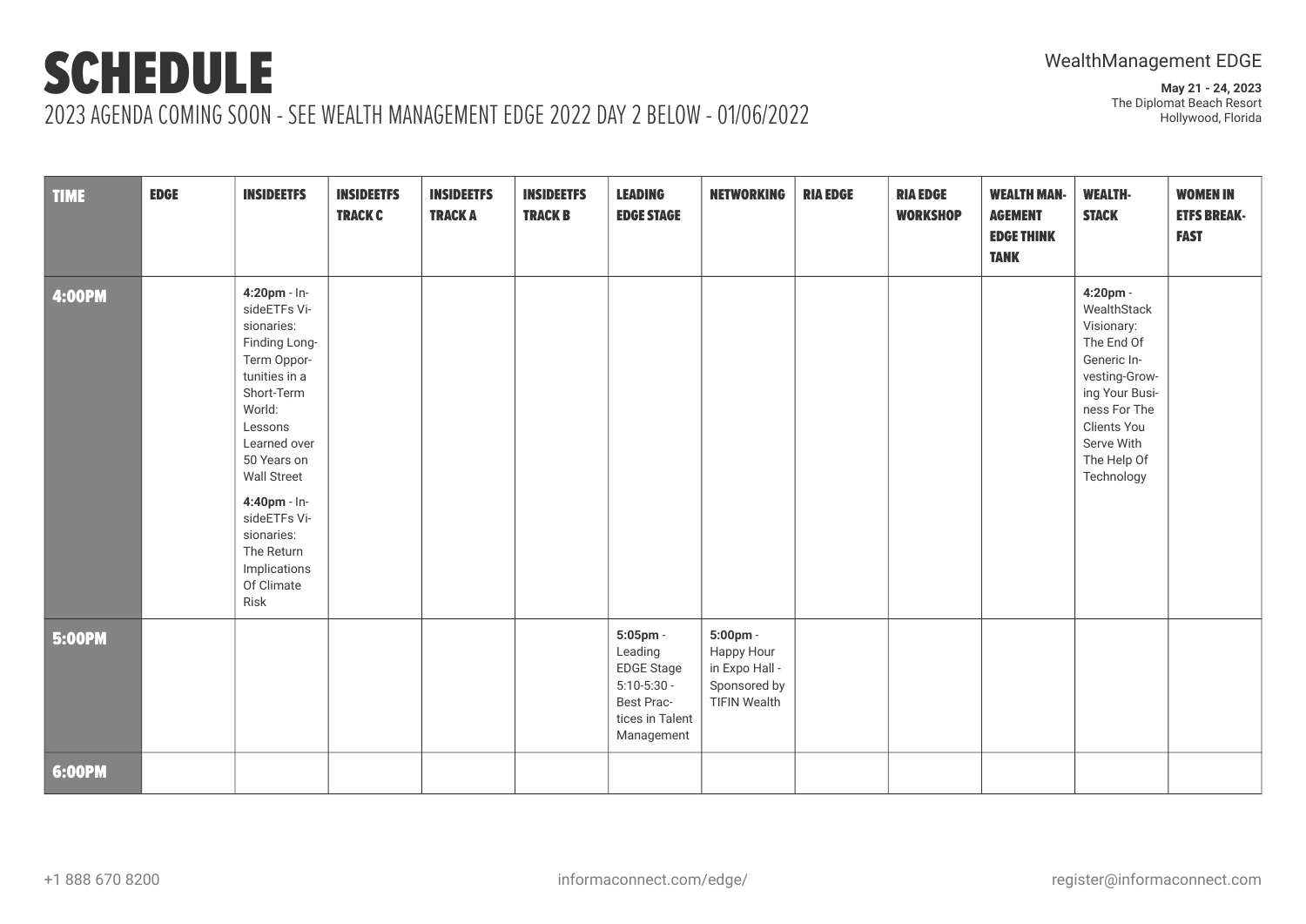# SCHEDULE

**May 21 - 24, 2023** The Diplomat Beach Resort Hollywood, Florida

## 2023 AGENDA COMING SOON - SEE WEALTH MANAGEMENT EDGE 2022 DAY 2 BELOW - 01/06/2022

| <b>TIME</b>   | <b>EDGE</b> | <b>INSIDEETFS</b>                                                                                                                                                                                                                                                                     | <b>INSIDEETFS</b><br><b>TRACK C</b> | <b>INSIDEETFS</b><br><b>TRACKA</b> | <b>INSIDEETFS</b><br><b>TRACK B</b> | <b>LEADING</b><br><b>EDGE STAGE</b>                                                                     | <b>NETWORKING</b>                                                               | <b>RIA EDGE</b> | <b>RIA EDGE</b><br><b>WORKSHOP</b> | <b>WEALTH MAN-</b><br><b>AGEMENT</b><br><b>EDGE THINK</b><br><b>TANK</b> | <b>WEALTH-</b><br><b>STACK</b>                                                                                                                                                  | <b>WOMEN IN</b><br><b>ETFS BREAK-</b><br><b>FAST</b> |
|---------------|-------------|---------------------------------------------------------------------------------------------------------------------------------------------------------------------------------------------------------------------------------------------------------------------------------------|-------------------------------------|------------------------------------|-------------------------------------|---------------------------------------------------------------------------------------------------------|---------------------------------------------------------------------------------|-----------------|------------------------------------|--------------------------------------------------------------------------|---------------------------------------------------------------------------------------------------------------------------------------------------------------------------------|------------------------------------------------------|
| <b>4:00PM</b> |             | 4:20pm - In-<br>sideETFs Vi-<br>sionaries:<br>Finding Long-<br>Term Oppor-<br>tunities in a<br>Short-Term<br>World:<br>Lessons<br>Learned over<br>50 Years on<br><b>Wall Street</b><br>4:40pm - In-<br>sideETFs Vi-<br>sionaries:<br>The Return<br>Implications<br>Of Climate<br>Risk |                                     |                                    |                                     |                                                                                                         |                                                                                 |                 |                                    |                                                                          | 4:20pm -<br>WealthStack<br>Visionary:<br>The End Of<br>Generic In-<br>vesting-Grow-<br>ing Your Busi-<br>ness For The<br>Clients You<br>Serve With<br>The Help Of<br>Technology |                                                      |
| <b>5:00PM</b> |             |                                                                                                                                                                                                                                                                                       |                                     |                                    |                                     | 5:05pm -<br>Leading<br><b>EDGE Stage</b><br>$5:10-5:30-$<br>Best Prac-<br>tices in Talent<br>Management | 5:00pm -<br>Happy Hour<br>in Expo Hall -<br>Sponsored by<br><b>TIFIN Wealth</b> |                 |                                    |                                                                          |                                                                                                                                                                                 |                                                      |
| 6:00PM        |             |                                                                                                                                                                                                                                                                                       |                                     |                                    |                                     |                                                                                                         |                                                                                 |                 |                                    |                                                                          |                                                                                                                                                                                 |                                                      |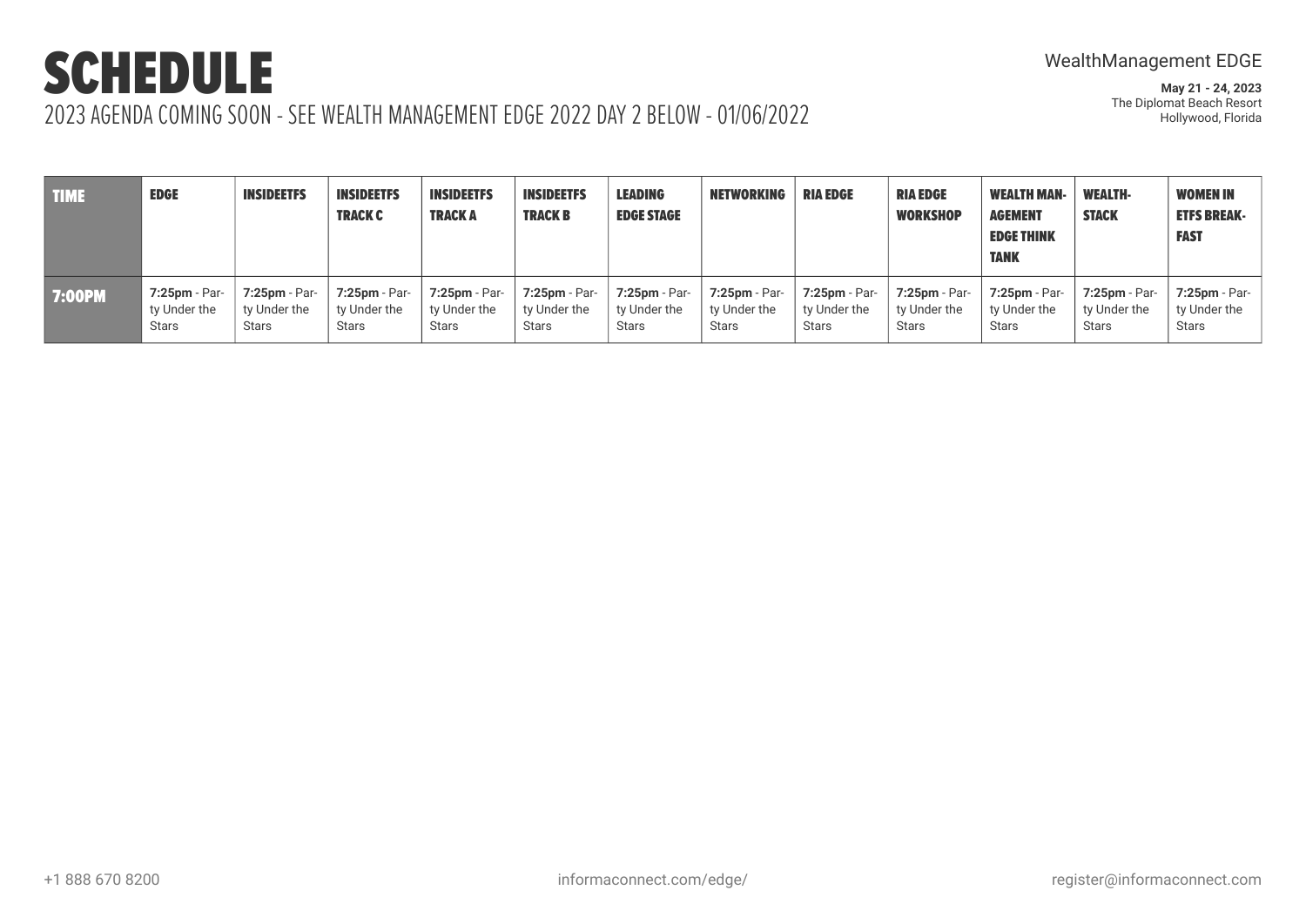## WealthManagement EDGE

| <b>TIME</b>   | <b>EDGE</b>      | <b>INSIDEETFS</b> | <b>INSIDEETFS</b><br><b>TRACK C</b> | <b>INSIDEETFS</b><br><b>TRACK A</b> | <b>INSIDEETFS</b><br><b>TRACK B</b> | <b>LEADING</b><br><b>EDGE STAGE</b> | <b>NETWORKING</b> | <b>RIA EDGE</b> | <b>RIA EDGE</b><br><b>WORKSHOP</b> | <b>WEALTH MAN-</b><br><b>AGEMENT</b><br><b>EDGE THINK</b><br><b>TANK</b> | <b>WEALTH-</b><br><b>STACK</b> | <b>WOMEN IN</b><br><b>ETFS BREAK-</b><br><b>FAST</b> |
|---------------|------------------|-------------------|-------------------------------------|-------------------------------------|-------------------------------------|-------------------------------------|-------------------|-----------------|------------------------------------|--------------------------------------------------------------------------|--------------------------------|------------------------------------------------------|
| <b>7:00PM</b> | $7:25$ pm - Par- | $7:25$ pm - Par-  | 7:25pm - Par-                       | $7:25$ pm - Par-                    | $7:25$ pm - Par-                    | 7:25pm - Par-                       | $7:25$ pm - Par-  | 7:25pm - Par-   | 7:25pm - Par-                      | $7:25$ pm - Par-                                                         | 7:25pm - Par-                  | $7:25$ pm - Par-                                     |
|               | ty Under the     | ty Under the      | ty Under the                        | ty Under the                        | ty Under the                        | ty Under the                        | ty Under the      | ty Under the    | ty Under the                       | ty Under the                                                             | ty Under the                   | ty Under the                                         |
|               | <b>Stars</b>     | <b>Stars</b>      | <b>Stars</b>                        | <b>Stars</b>                        | <b>Stars</b>                        | <b>Stars</b>                        | <b>Stars</b>      | <b>Stars</b>    | <b>Stars</b>                       | <b>Stars</b>                                                             | <b>Stars</b>                   | <b>Stars</b>                                         |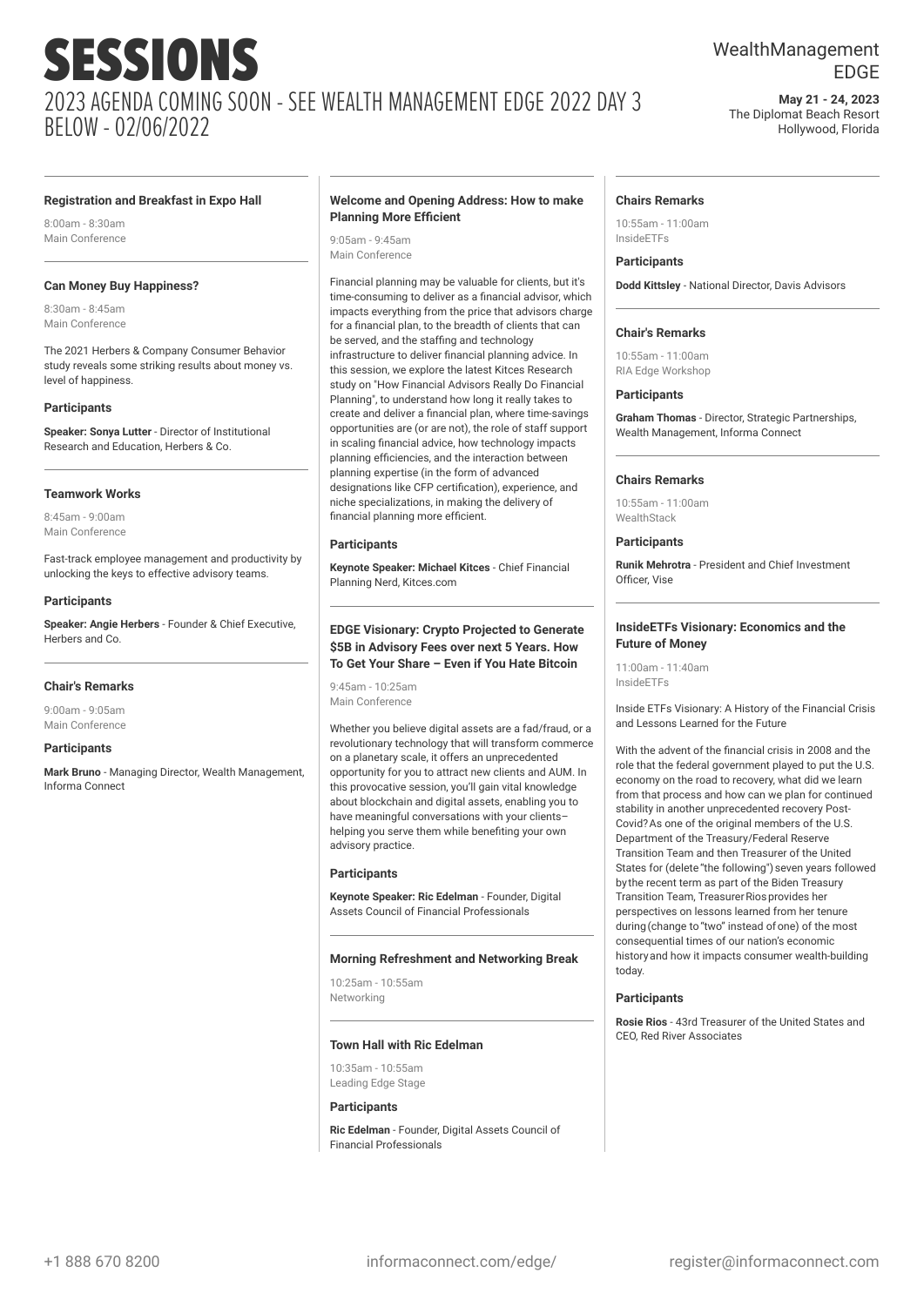## WealthManagement EDGE

**May 21 - 24, 2023** The Diplomat Beach Resort Hollywood, Florida

#### **Registration and Breakfast in Expo Hall**

8:00am - 8:30am Main Conference

#### **Can Money Buy Happiness?**

8:30am - 8:45am Main Conference

The 2021 Herbers & Company Consumer Behavior study reveals some striking results about money vs. level of happiness.

#### **Participants**

**Speaker: Sonya Lutter** - Director of Institutional Research and Education, Herbers & Co.

#### **Teamwork Works**

8:45am - 9:00am Main Conference

Fast-track employee management and productivity by unlocking the keys to effective advisory teams.

#### **Participants**

**Speaker: Angie Herbers** - Founder & Chief Executive, Herbers and Co.

#### **Chair's Remarks**

9:00am - 9:05am Main Conference

#### **Participants**

**Mark Bruno** - Managing Director, Wealth Management, Informa Connect

#### **Welcome and Opening Address: How to make Planning More Efficient**

9:05am - 9:45am Main Conference

Financial planning may be valuable for clients, but it's time-consuming to deliver as a financial advisor, which impacts everything from the price that advisors charge for a financial plan, to the breadth of clients that can be served, and the staffing and technology infrastructure to deliver financial planning advice. In this session, we explore the latest Kitces Research study on "How Financial Advisors Really Do Financial Planning", to understand how long it really takes to create and deliver a financial plan, where time-savings opportunities are (or are not), the role of staff support in scaling financial advice, how technology impacts planning efficiencies, and the interaction between planning expertise (in the form of advanced designations like CFP certification), experience, and niche specializations, in making the delivery of financial planning more efficient.

#### **Participants**

**Keynote Speaker: Michael Kitces** - Chief Financial Planning Nerd, Kitces.com

#### **EDGE Visionary: Crypto Projected to Generate \$5B in Advisory Fees over next 5 Years. How To Get Your Share – Even if You Hate Bitcoin**

9:45am - 10:25am Main Conference

Whether you believe digital assets are a fad/fraud, or a revolutionary technology that will transform commerce on a planetary scale, it offers an unprecedented opportunity for you to attract new clients and AUM. In this provocative session, you'll gain vital knowledge about blockchain and digital assets, enabling you to have meaningful conversations with your clients– helping you serve them while benefiting your own advisory practice.

#### **Participants**

**Keynote Speaker: Ric Edelman** - Founder, Digital Assets Council of Financial Professionals

#### **Morning Refreshment and Networking Break**

10:25am - 10:55am Networking

#### **Town Hall with Ric Edelman**

10:35am - 10:55am Leading Edge Stage

#### **Participants**

**Ric Edelman** - Founder, Digital Assets Council of Financial Professionals

#### **Chairs Remarks**

10:55am - 11:00am InsideETFs

#### **Participants**

**Dodd Kittsley** - National Director, Davis Advisors

#### **Chair's Remarks**

10:55am - 11:00am RIA Edge Workshop

#### **Participants**

**Graham Thomas** - Director, Strategic Partnerships, Wealth Management, Informa Connect

#### **Chairs Remarks**

10:55am - 11:00am WealthStack

#### **Participants**

**Runik Mehrotra** - President and Chief Investment Officer, Vise

#### **InsideETFs Visionary: Economics and the Future of Money**

11:00am - 11:40am InsideETFs

Inside ETFs Visionary: A History of the Financial Crisis and Lessons Learned for the Future

With the advent of the financial crisis in 2008 and the role that the federal government played to put the U.S. economy on the road to recovery, what did we learn from that process and how can we plan for continued stability in another unprecedented recovery Post-Covid?As one of the original members of the U.S. Department of the Treasury/Federal Reserve Transition Team and then Treasurer of the United States for (delete "the following") seven years followed by the recent term as part of the Biden Treasury Transition Team, Treasurer Rios provides her perspectives on lessons learned from her tenure during (change to "two" instead of one) of the most consequential times of our nation's economic historyand how it impacts consumer wealth-building today.

#### **Participants**

**Rosie Rios** - 43rd Treasurer of the United States and CEO, Red River Associates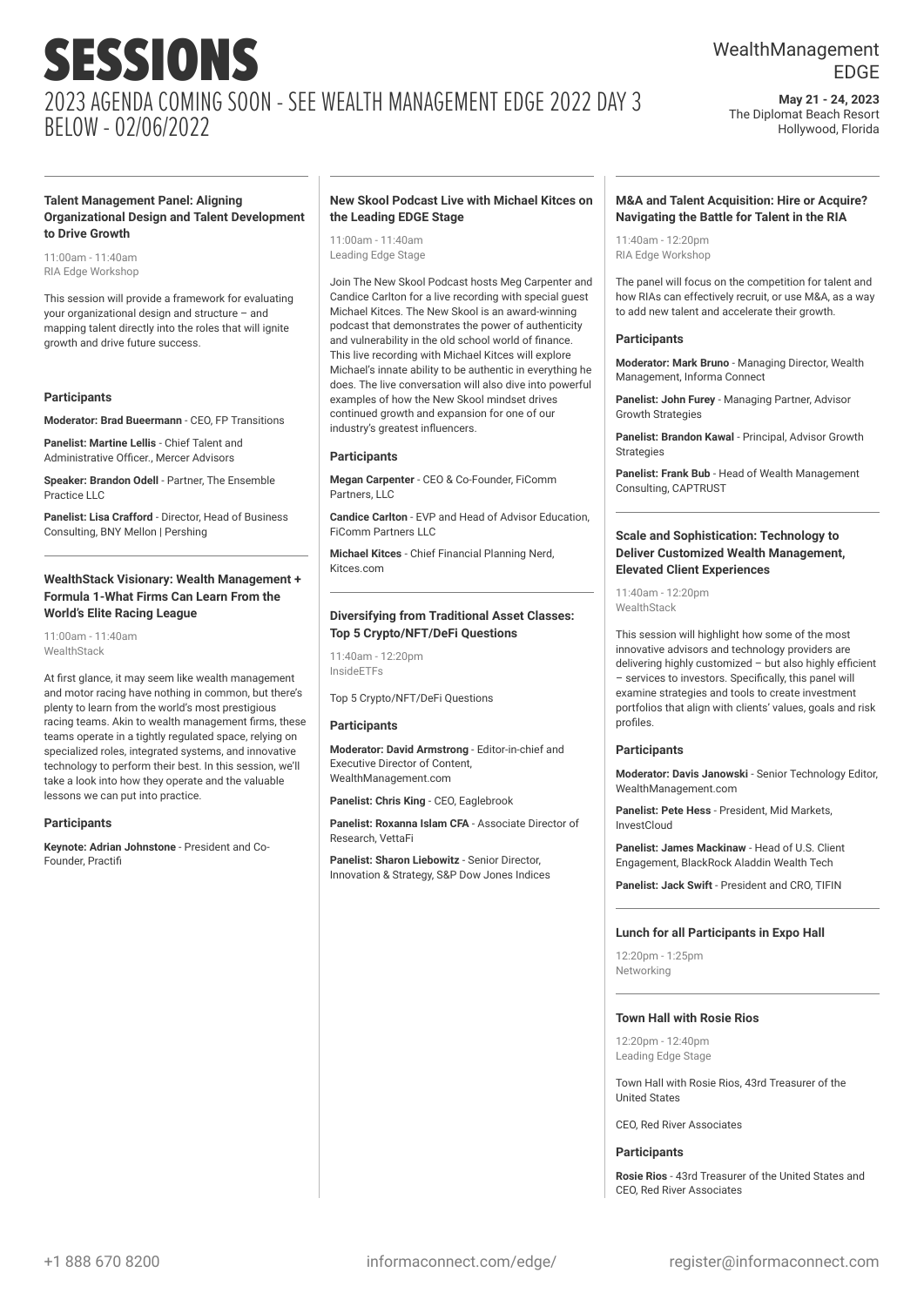## WealthManagement EDGE

**May 21 - 24, 2023** The Diplomat Beach Resort Hollywood, Florida

#### **Talent Management Panel: Aligning Organizational Design and Talent Development to Drive Growth**

11:00am - 11:40am RIA Edge Workshop

This session will provide a framework for evaluating your organizational design and structure – and mapping talent directly into the roles that will ignite growth and drive future success.

#### **Participants**

**Moderator: Brad Bueermann** - CEO, FP Transitions

**Panelist: Martine Lellis** - Chief Talent and Administrative Officer., Mercer Advisors

**Speaker: Brandon Odell** - Partner, The Ensemble Practice LLC

**Panelist: Lisa Crafford** - Director, Head of Business Consulting, BNY Mellon | Pershing

#### **WealthStack Visionary: Wealth Management + Formula 1-What Firms Can Learn From the World's Elite Racing League**

11:00am - 11:40am WealthStack

At first glance, it may seem like wealth management and motor racing have nothing in common, but there's plenty to learn from the world's most prestigious racing teams. Akin to wealth management firms, these teams operate in a tightly regulated space, relying on specialized roles, integrated systems, and innovative technology to perform their best. In this session, we'll take a look into how they operate and the valuable lessons we can put into practice.

#### **Participants**

**Keynote: Adrian Johnstone** - President and Co-Founder, Practifi

#### **New Skool Podcast Live with Michael Kitces on the Leading EDGE Stage**

11:00am - 11:40am Leading Edge Stage

Join The New Skool Podcast hosts Meg Carpenter and Candice Carlton for a live recording with special guest Michael Kitces. The New Skool is an award-winning podcast that demonstrates the power of authenticity and vulnerability in the old school world of finance. This live recording with Michael Kitces will explore Michael's innate ability to be authentic in everything he does. The live conversation will also dive into powerful examples of how the New Skool mindset drives continued growth and expansion for one of our industry's greatest influencers.

#### **Participants**

**Megan Carpenter** - CEO & Co-Founder, FiComm Partners, LLC

**Candice Carlton** - EVP and Head of Advisor Education, FiComm Partners LLC

**Michael Kitces** - Chief Financial Planning Nerd, Kitces.com

#### **Diversifying from Traditional Asset Classes: Top 5 Crypto/NFT/DeFi Questions**

11:40am - 12:20pm InsideETFs

Top 5 Crypto/NFT/DeFi Questions

#### **Participants**

**Moderator: David Armstrong** - Editor-in-chief and Executive Director of Content, WealthManagement.com

**Panelist: Chris King** - CEO, Eaglebrook

**Panelist: Roxanna Islam CFA** - Associate Director of Research, VettaFi

**Panelist: Sharon Liebowitz** - Senior Director, Innovation & Strategy, S&P Dow Jones Indices

#### **M&A and Talent Acquisition: Hire or Acquire? Navigating the Battle for Talent in the RIA**

11:40am - 12:20pm RIA Edge Workshop

The panel will focus on the competition for talent and how RIAs can effectively recruit, or use M&A, as a way to add new talent and accelerate their growth.

#### **Participants**

**Moderator: Mark Bruno** - Managing Director, Wealth Management, Informa Connect

**Panelist: John Furey** - Managing Partner, Advisor Growth Strategies

**Panelist: Brandon Kawal** - Principal, Advisor Growth Strategies

**Panelist: Frank Bub** - Head of Wealth Management Consulting, CAPTRUST

#### **Scale and Sophistication: Technology to Deliver Customized Wealth Management, Elevated Client Experiences**

11:40am - 12:20pm **WealthStack** 

This session will highlight how some of the most innovative advisors and technology providers are delivering highly customized – but also highly efficient – services to investors. Specifically, this panel will examine strategies and tools to create investment portfolios that align with clients' values, goals and risk profiles.

#### **Participants**

**Moderator: Davis Janowski** - Senior Technology Editor, WealthManagement.com

**Panelist: Pete Hess** - President, Mid Markets, InvestCloud

**Panelist: James Mackinaw** - Head of U.S. Client Engagement, BlackRock Aladdin Wealth Tech

**Panelist: Jack Swift** - President and CRO, TIFIN

#### **Lunch for all Participants in Expo Hall**

 $12:20$ pm - 1:25pm Networking

#### **Town Hall with Rosie Rios**

12:20pm - 12:40pm Leading Edge Stage

Town Hall with Rosie Rios, 43rd Treasurer of the United States

CEO, Red River Associates

#### **Participants**

**Rosie Rios** - 43rd Treasurer of the United States and CEO, Red River Associates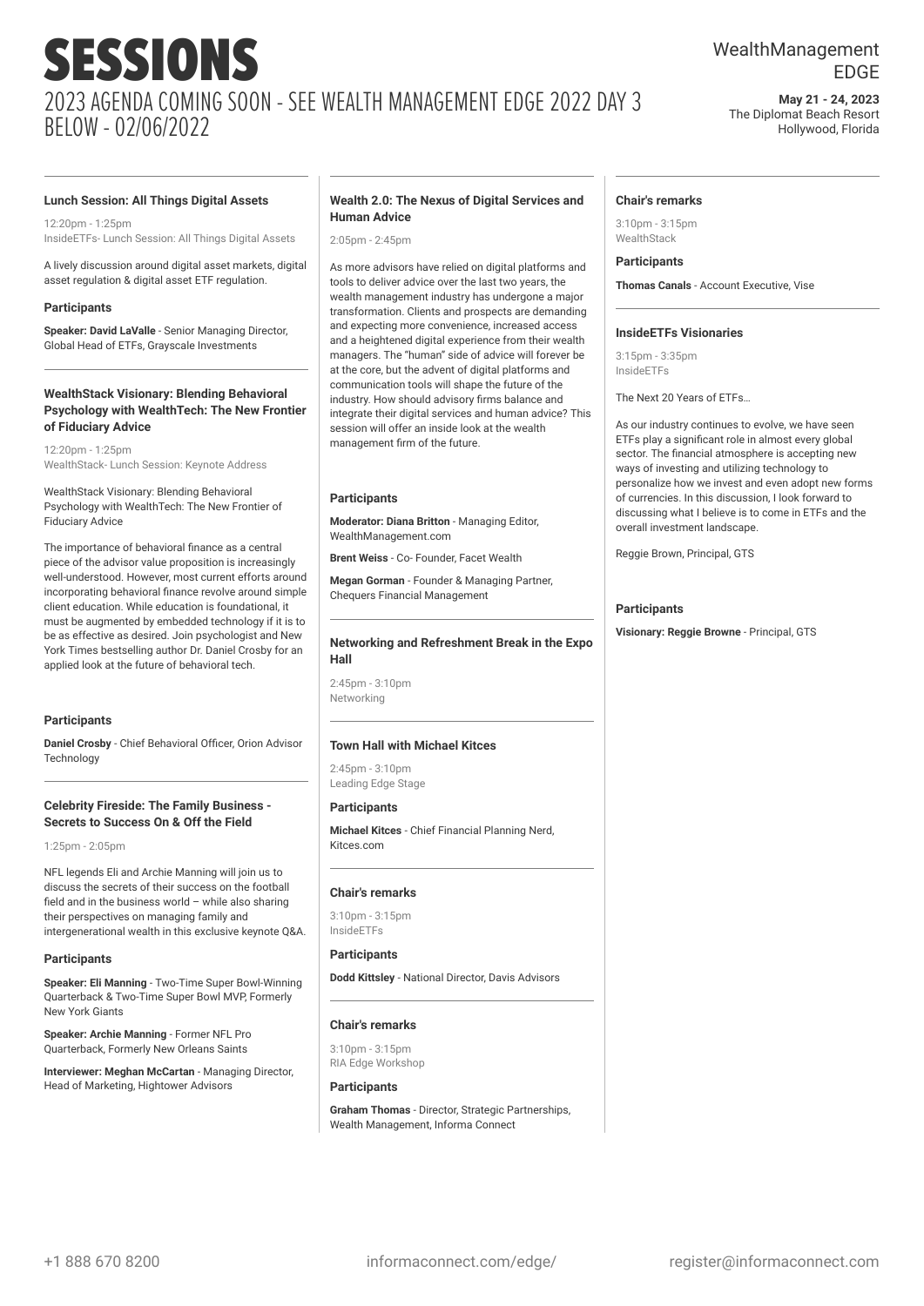## WealthManagement EDGE

**May 21 - 24, 2023** The Diplomat Beach Resort Hollywood, Florida

#### **Lunch Session: All Things Digital Assets**

 $12:20$ pm - 1:25pm InsideETFs- Lunch Session: All Things Digital Assets

A lively discussion around digital asset markets, digital asset regulation & digital asset ETF regulation.

#### **Participants**

**Speaker: David LaValle** - Senior Managing Director, Global Head of ETFs, Grayscale Investments

#### **WealthStack Visionary: Blending Behavioral Psychology with WealthTech: The New Frontier of Fiduciary Advice**

12:20pm - 1:25pm WealthStack- Lunch Session: Keynote Address

WealthStack Visionary: Blending Behavioral Psychology with WealthTech: The New Frontier of Fiduciary Advice

The importance of behavioral finance as a central piece of the advisor value proposition is increasingly well-understood. However, most current efforts around incorporating behavioral finance revolve around simple client education. While education is foundational, it must be augmented by embedded technology if it is to be as effective as desired. Join psychologist and New York Times bestselling author Dr. Daniel Crosby for an applied look at the future of behavioral tech.

#### **Participants**

**Daniel Crosby** - Chief Behavioral Officer, Orion Advisor **Technology** 

#### **Celebrity Fireside: The Family Business - Secrets to Success On & Off the Field**

1:25pm - 2:05pm

NFL legends Eli and Archie Manning will join us to discuss the secrets of their success on the football field and in the business world – while also sharing their perspectives on managing family and intergenerational wealth in this exclusive keynote Q&A.

#### **Participants**

**Speaker: Eli Manning** - Two-Time Super Bowl-Winning Quarterback & Two-Time Super Bowl MVP, Formerly New York Giants

**Speaker: Archie Manning** - Former NFL Pro Quarterback, Formerly New Orleans Saints

**Interviewer: Meghan McCartan** - Managing Director, Head of Marketing, Hightower Advisors

#### **Wealth 2.0: The Nexus of Digital Services and Human Advice**

 $2.05$ pm -  $2.45$ pm

As more advisors have relied on digital platforms and tools to deliver advice over the last two years, the wealth management industry has undergone a major transformation. Clients and prospects are demanding and expecting more convenience, increased access and a heightened digital experience from their wealth managers. The "human" side of advice will forever be at the core, but the advent of digital platforms and communication tools will shape the future of the industry. How should advisory firms balance and integrate their digital services and human advice? This session will offer an inside look at the wealth management firm of the future.

#### **Participants**

**Moderator: Diana Britton** - Managing Editor, WealthManagement.com

**Brent Weiss - Co- Founder, Facet Wealth** 

**Megan Gorman** - Founder & Managing Partner, Chequers Financial Management

#### **Networking and Refreshment Break in the Expo Hall**

2:45pm - 3:10pm Networking

#### **Town Hall with Michael Kitces**

2:45pm - 3:10pm Leading Edge Stage

#### **Participants**

**Michael Kitces** - Chief Financial Planning Nerd, Kitces.com

#### **Chair's remarks**

 $3:10$ pm -  $3:15$ pm InsideETFs

#### **Participants**

**Dodd Kittsley** - National Director, Davis Advisors

#### **Chair's remarks**

3:10pm - 3:15pm RIA Edge Workshop

#### **Participants**

**Graham Thomas** - Director, Strategic Partnerships, Wealth Management, Informa Connect

#### **Chair's remarks**

3:10pm - 3:15pm WealthStack

#### **Participants**

**Thomas Canals** - Account Executive, Vise

#### **InsideETFs Visionaries**

3:15pm - 3:35pm InsideETFs

The Next 20 Years of ETFs…

As our industry continues to evolve, we have seen ETFs play a significant role in almost every global sector. The financial atmosphere is accepting new ways of investing and utilizing technology to personalize how we invest and even adopt new forms of currencies. In this discussion, I look forward to discussing what I believe is to come in ETFs and the overall investment landscape.

Reggie Brown, Principal, GTS

#### **Participants**

**Visionary: Reggie Browne** - Principal, GTS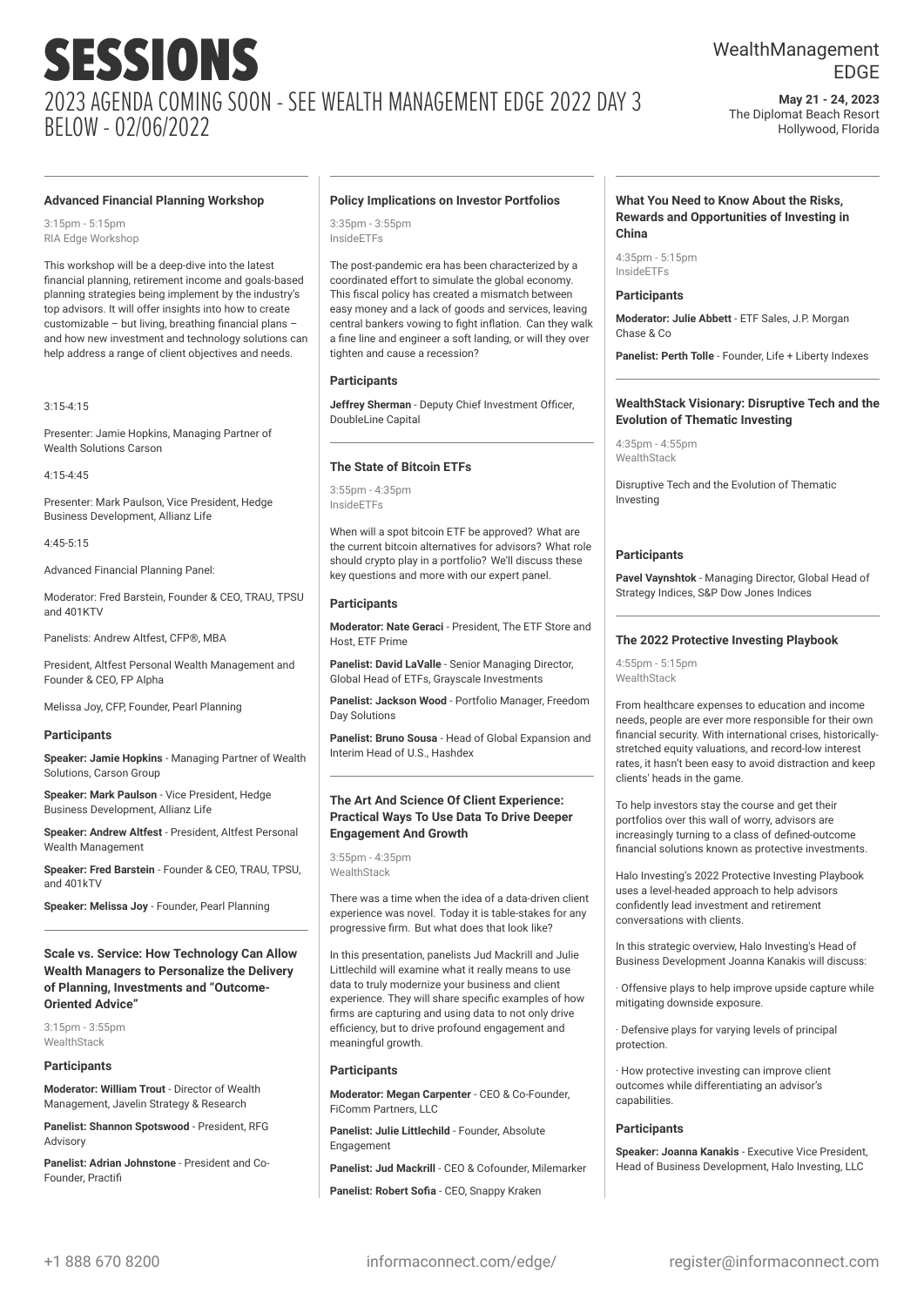## WealthManagement EDGE

**May 21 - 24, 2023** The Diplomat Beach Resort Hollywood, Florida

#### **Advanced Financial Planning Workshop**

3:15pm - 5:15pm RIA Edge Workshop

This workshop will be a deep-dive into the latest financial planning, retirement income and goals-based planning strategies being implement by the industry's top advisors. It will offer insights into how to create customizable – but living, breathing financial plans – and how new investment and technology solutions can help address a range of client objectives and needs.

3:15-4:15

Presenter: Jamie Hopkins, Managing Partner of Wealth Solutions Carson

4:15-4:45

Presenter: Mark Paulson, Vice President, Hedge Business Development, Allianz Life

4:45-5:15

Advanced Financial Planning Panel:

Moderator: Fred Barstein, Founder & CEO, TRAU, TPSU and 401KTV

Panelists: Andrew Altfest, CFP®, MBA

President, Altfest Personal Wealth Management and Founder & CEO, FP Alpha

Melissa Joy, CFP, Founder, Pearl Planning

#### **Participants**

**Speaker: Jamie Hopkins** - Managing Partner of Wealth Solutions, Carson Group

**Speaker: Mark Paulson** - Vice President, Hedge Business Development, Allianz Life

**Speaker: Andrew Altfest** - President, Altfest Personal Wealth Management

**Speaker: Fred Barstein** - Founder & CEO, TRAU, TPSU, and 401kTV

**Speaker: Melissa Joy** - Founder, Pearl Planning

**Scale vs. Service: How Technology Can Allow Wealth Managers to Personalize the Delivery of Planning, Investments and "Outcome-Oriented Advice"**

3:15pm - 3:55pm **WealthStack** 

#### **Participants**

**Moderator: William Trout** - Director of Wealth Management, Javelin Strategy & Research

**Panelist: Shannon Spotswood** - President, RFG Advisory

**Panelist: Adrian Johnstone** - President and Co-Founder, Practifi

#### **Policy Implications on Investor Portfolios**

3:35pm - 3:55pm InsideETFs

The post-pandemic era has been characterized by a coordinated effort to simulate the global economy. This fiscal policy has created a mismatch between easy money and a lack of goods and services, leaving central bankers vowing to fight inflation. Can they walk a fine line and engineer a soft landing, or will they over tighten and cause a recession?

#### **Participants**

**Jeffrey Sherman** - Deputy Chief Investment Officer, DoubleLine Capital

#### **The State of Bitcoin ETFs**

3:55pm - 4:35pm InsideETFs

When will a spot bitcoin ETF be approved? What are the current bitcoin alternatives for advisors? What role should crypto play in a portfolio? We'll discuss these key questions and more with our expert panel.

#### **Participants**

**Moderator: Nate Geraci** - President, The ETF Store and Host, ETF Prime

**Panelist: David LaValle** - Senior Managing Director, Global Head of ETFs, Grayscale Investments

**Panelist: Jackson Wood** - Portfolio Manager, Freedom Day Solutions

**Panelist: Bruno Sousa** - Head of Global Expansion and Interim Head of U.S., Hashdex

#### **The Art And Science Of Client Experience: Practical Ways To Use Data To Drive Deeper Engagement And Growth**

3:55pm - 4:35pm WealthStack

There was a time when the idea of a data-driven client experience was novel. Today it is table-stakes for any progressive firm. But what does that look like?

In this presentation, panelists Jud Mackrill and Julie Littlechild will examine what it really means to use data to truly modernize your business and client experience. They will share specific examples of how firms are capturing and using data to not only drive efficiency, but to drive profound engagement and meaningful growth.

#### **Participants**

**Moderator: Megan Carpenter** - CEO & Co-Founder, FiComm Partners, LLC

**Panelist: Julie Littlechild** - Founder, Absolute Engagement

**Panelist: Jud Mackrill** - CEO & Cofounder, Milemarker

**Panelist: Robert Sofia** - CEO, Snappy Kraken

#### **What You Need to Know About the Risks, Rewards and Opportunities of Investing in China**

4:35pm - 5:15pm InsideETFs

#### **Participants**

**Moderator: Julie Abbett** - ETF Sales, J.P. Morgan Chase & Co

**Panelist: Perth Tolle** - Founder, Life + Liberty Indexes

#### **WealthStack Visionary: Disruptive Tech and the Evolution of Thematic Investing**

4:35pm - 4:55pm **WealthStack** 

Disruptive Tech and the Evolution of Thematic Investing

#### **Participants**

**Pavel Vaynshtok** - Managing Director, Global Head of Strategy Indices, S&P Dow Jones Indices

#### **The 2022 Protective Investing Playbook**

 $4:55$ pm -  $5:15$ pm WealthStack

From healthcare expenses to education and income needs, people are ever more responsible for their own financial security. With international crises, historicallystretched equity valuations, and record-low interest rates, it hasn't been easy to avoid distraction and keep clients' heads in the game.

To help investors stay the course and get their portfolios over this wall of worry, advisors are increasingly turning to a class of defined-outcome financial solutions known as protective investments.

Halo Investing's 2022 Protective Investing Playbook uses a level-headed approach to help advisors confidently lead investment and retirement conversations with clients.

In this strategic overview, Halo Investing's Head of Business Development Joanna Kanakis will discuss:

· Offensive plays to help improve upside capture while mitigating downside exposure.

· Defensive plays for varying levels of principal protection.

· How protective investing can improve client outcomes while differentiating an advisor's capabilities.

#### **Participants**

**Speaker: Joanna Kanakis** - Executive Vice President, Head of Business Development, Halo Investing, LLC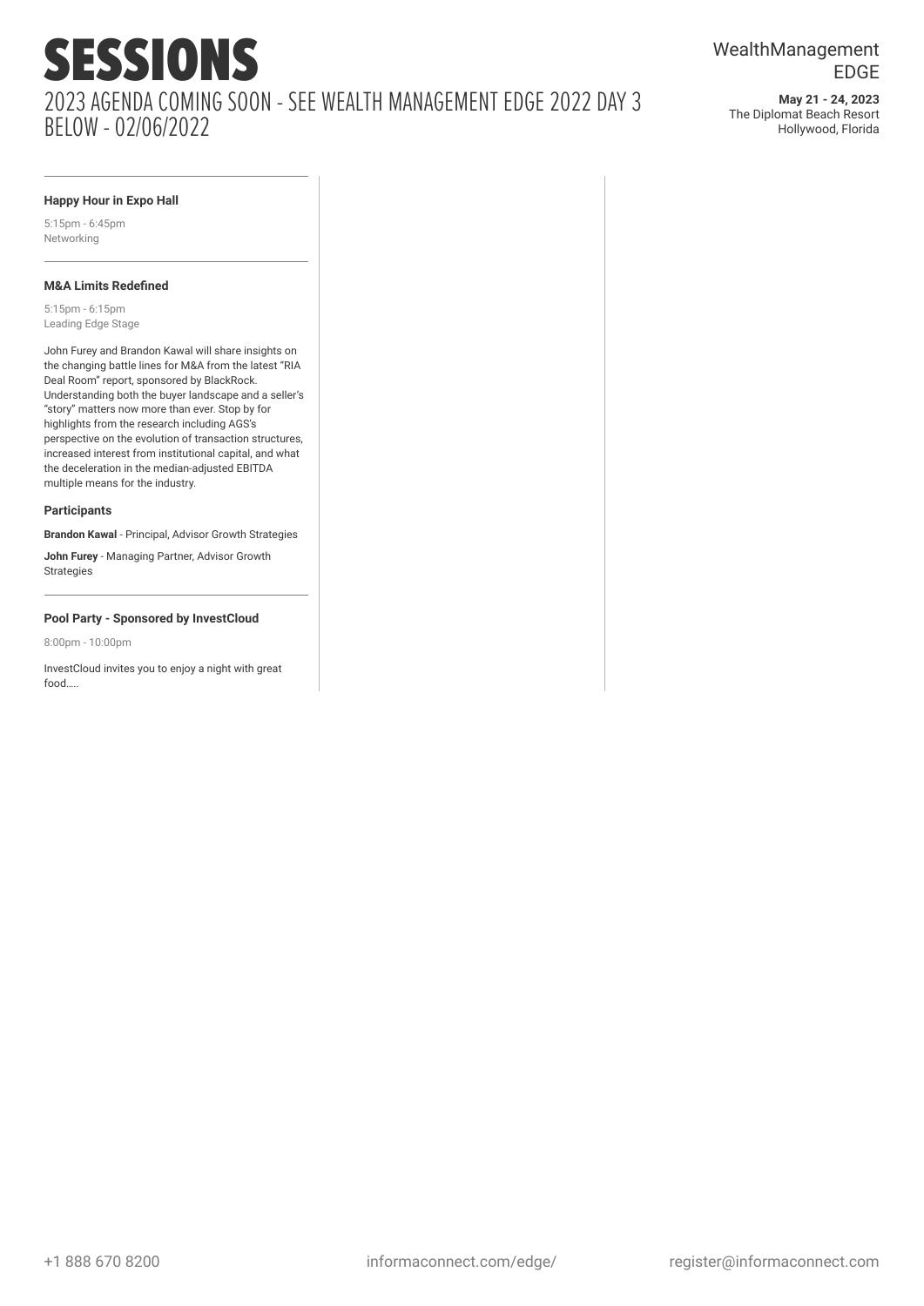**May 21 - 24, 2023** The Diplomat Beach Resort Hollywood, Florida

#### **Happy Hour in Expo Hall**

5:15pm - 6:45pm Networking

#### **M&A Limits Redefined**

5:15pm - 6:15pm Leading Edge Stage

John Furey and Brandon Kawal will share insights on the changing battle lines for M&A from the latest "RIA Deal Room" report, sponsored by BlackRock. Understanding both the buyer landscape and a seller's "story" matters now more than ever. Stop by for highlights from the research including AGS's perspective on the evolution of transaction structures, increased interest from institutional capital, and what the deceleration in the median-adjusted EBITDA multiple means for the industry.

#### **Participants**

**Brandon Kawal** - Principal, Advisor Growth Strategies

**John Furey** - Managing Partner, Advisor Growth Strategies

#### **Pool Party - Sponsored by InvestCloud**

8:00pm - 10:00pm

InvestCloud invites you to enjoy a night with great food…..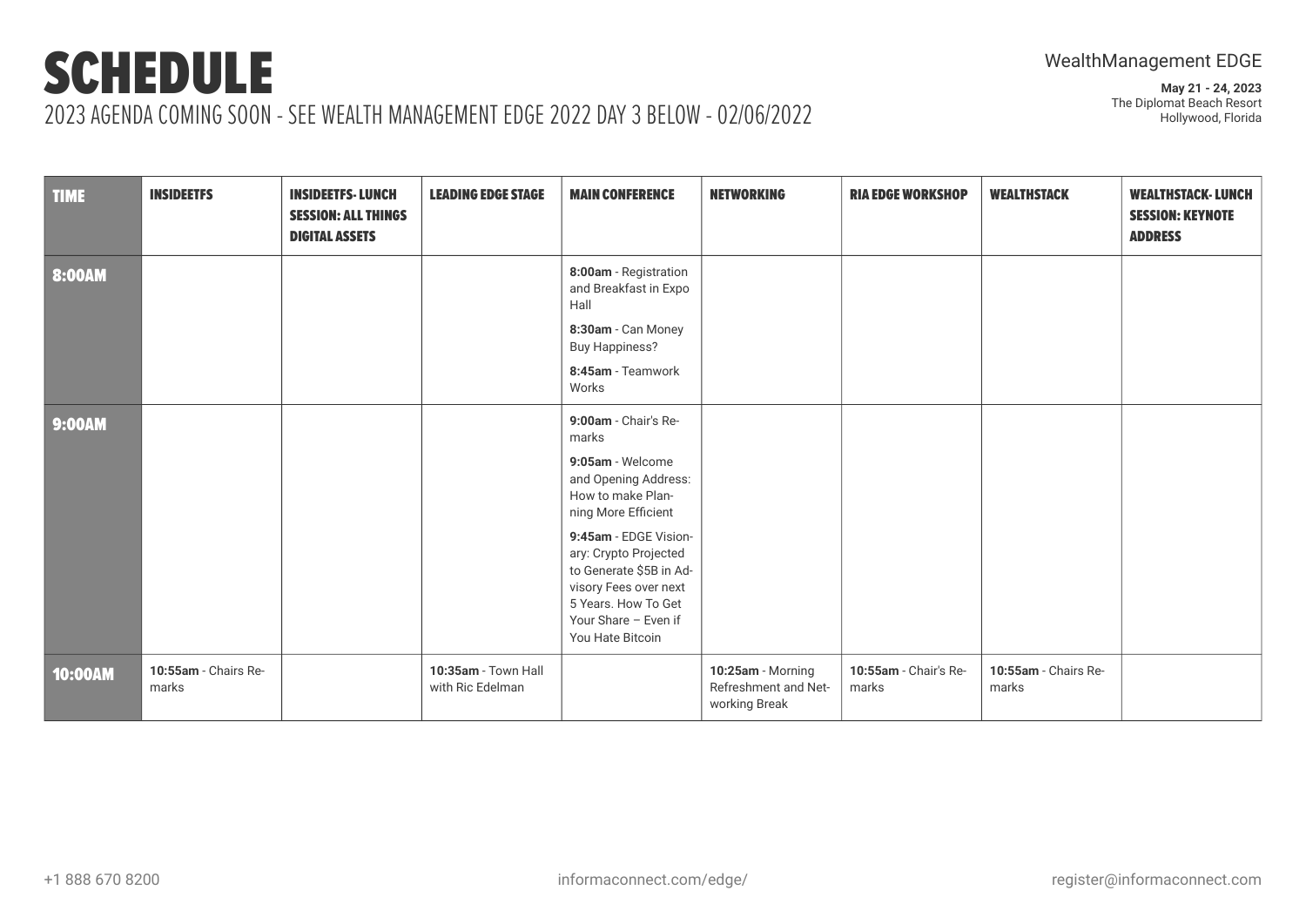| <b>TIME</b>   | <b>INSIDEETFS</b>             | <b>INSIDEETFS-LUNCH</b><br><b>SESSION: ALL THINGS</b><br><b>DIGITAL ASSETS</b> | <b>LEADING EDGE STAGE</b>               | <b>MAIN CONFERENCE</b>                                                                                                                                                                                                                                                                         | <b>NETWORKING</b>                                          | <b>RIA EDGE WORKSHOP</b>       | <b>WEALTHSTACK</b>            | <b>WEALTHSTACK-LUNCH</b><br><b>SESSION: KEYNOTE</b><br><b>ADDRESS</b> |
|---------------|-------------------------------|--------------------------------------------------------------------------------|-----------------------------------------|------------------------------------------------------------------------------------------------------------------------------------------------------------------------------------------------------------------------------------------------------------------------------------------------|------------------------------------------------------------|--------------------------------|-------------------------------|-----------------------------------------------------------------------|
| 8:00AM        |                               |                                                                                |                                         | 8:00am - Registration<br>and Breakfast in Expo<br>Hall<br>8:30am - Can Money<br><b>Buy Happiness?</b><br>8:45am - Teamwork<br>Works                                                                                                                                                            |                                                            |                                |                               |                                                                       |
| <b>9:00AM</b> |                               |                                                                                |                                         | 9:00am - Chair's Re-<br>marks<br>9:05am - Welcome<br>and Opening Address:<br>How to make Plan-<br>ning More Efficient<br>9:45am - EDGE Vision-<br>ary: Crypto Projected<br>to Generate \$5B in Ad-<br>visory Fees over next<br>5 Years. How To Get<br>Your Share - Even if<br>You Hate Bitcoin |                                                            |                                |                               |                                                                       |
| 10:00AM       | 10:55am - Chairs Re-<br>marks |                                                                                | 10:35am - Town Hall<br>with Ric Edelman |                                                                                                                                                                                                                                                                                                | 10:25am - Morning<br>Refreshment and Net-<br>working Break | 10:55am - Chair's Re-<br>marks | 10:55am - Chairs Re-<br>marks |                                                                       |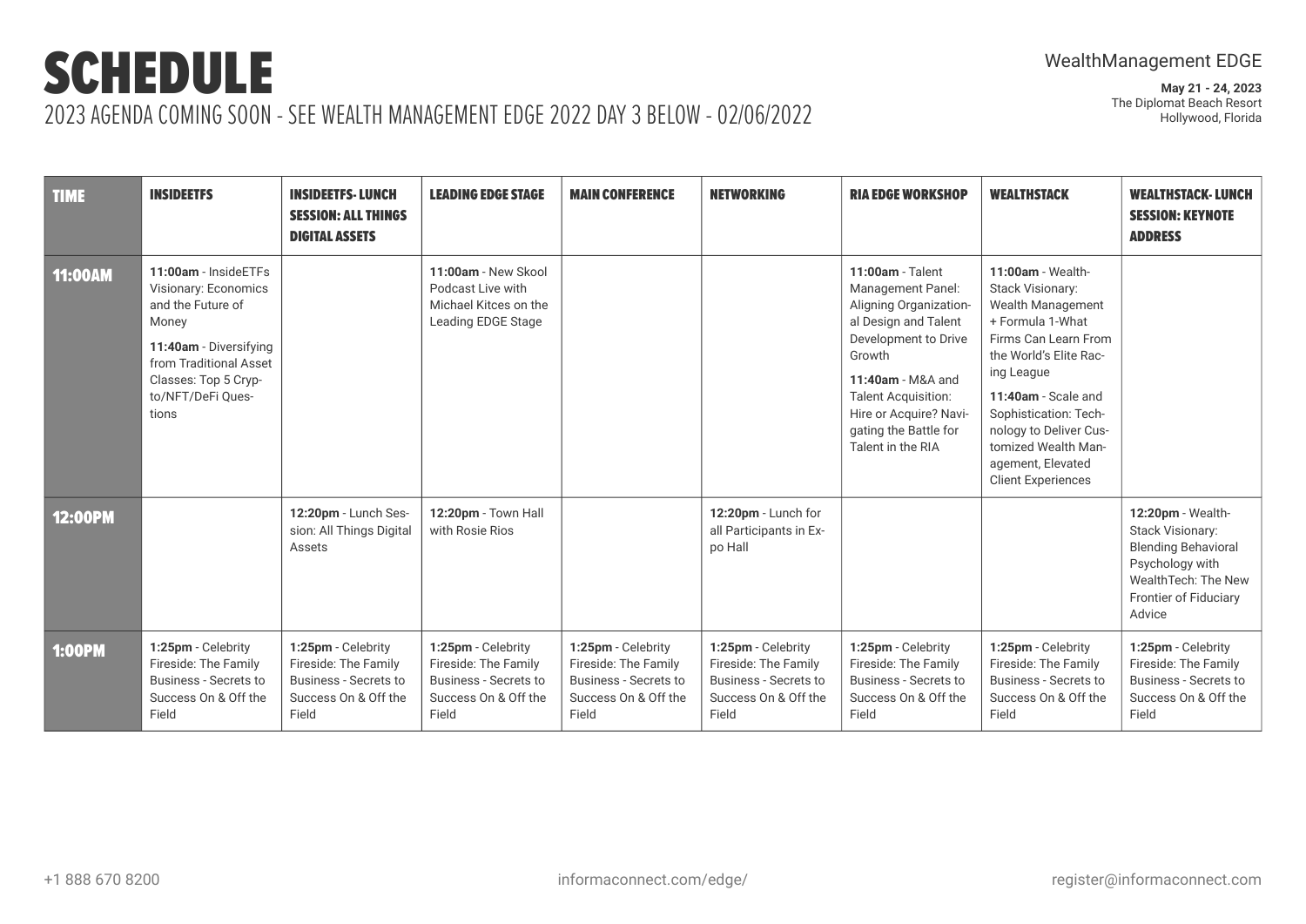| <b>TIME</b>    | <b>INSIDEETFS</b>                                                                                                                                                                    | <b>INSIDEETFS-LUNCH</b><br><b>SESSION: ALL THINGS</b><br><b>DIGITAL ASSETS</b>                              | <b>LEADING EDGE STAGE</b>                                                                                   | <b>MAIN CONFERENCE</b>                                                                                      | <b>NETWORKING</b>                                                                                           | <b>RIA EDGE WORKSHOP</b>                                                                                                                                                                                                                               | <b>WEALTHSTACK</b>                                                                                                                                                                                                                                                                                       | <b>WEALTHSTACK-LUNCH</b><br><b>SESSION: KEYNOTE</b><br><b>ADDRESS</b>                                                                                   |
|----------------|--------------------------------------------------------------------------------------------------------------------------------------------------------------------------------------|-------------------------------------------------------------------------------------------------------------|-------------------------------------------------------------------------------------------------------------|-------------------------------------------------------------------------------------------------------------|-------------------------------------------------------------------------------------------------------------|--------------------------------------------------------------------------------------------------------------------------------------------------------------------------------------------------------------------------------------------------------|----------------------------------------------------------------------------------------------------------------------------------------------------------------------------------------------------------------------------------------------------------------------------------------------------------|---------------------------------------------------------------------------------------------------------------------------------------------------------|
| <b>11:00AM</b> | 11:00am - InsideETFs<br>Visionary: Economics<br>and the Future of<br>Money<br>11:40am - Diversifying<br>from Traditional Asset<br>Classes: Top 5 Cryp-<br>to/NFT/DeFi Ques-<br>tions |                                                                                                             | 11:00am - New Skool<br>Podcast Live with<br>Michael Kitces on the<br>Leading EDGE Stage                     |                                                                                                             |                                                                                                             | $11:00am - Talent$<br>Management Panel:<br>Aligning Organization-<br>al Design and Talent<br>Development to Drive<br>Growth<br>11:40am - M&A and<br><b>Talent Acquisition:</b><br>Hire or Acquire? Navi-<br>gating the Battle for<br>Talent in the RIA | 11:00am - Wealth-<br>Stack Visionary:<br><b>Wealth Management</b><br>+ Formula 1-What<br>Firms Can Learn From<br>the World's Elite Rac-<br>ing League<br>11:40am - Scale and<br>Sophistication: Tech-<br>nology to Deliver Cus-<br>tomized Wealth Man-<br>agement, Elevated<br><b>Client Experiences</b> |                                                                                                                                                         |
| 12:00PM        |                                                                                                                                                                                      | 12:20pm - Lunch Ses-<br>sion: All Things Digital<br>Assets                                                  | 12:20pm - Town Hall<br>with Rosie Rios                                                                      |                                                                                                             | 12:20pm - Lunch for<br>all Participants in Ex-<br>po Hall                                                   |                                                                                                                                                                                                                                                        |                                                                                                                                                                                                                                                                                                          | 12:20pm - Wealth-<br><b>Stack Visionary:</b><br><b>Blending Behavioral</b><br>Psychology with<br>WealthTech: The New<br>Frontier of Fiduciary<br>Advice |
| <b>1:00PM</b>  | 1:25pm - Celebrity<br>Fireside: The Family<br><b>Business - Secrets to</b><br>Success On & Off the<br>Field                                                                          | 1:25pm - Celebrity<br>Fireside: The Family<br><b>Business - Secrets to</b><br>Success On & Off the<br>Field | 1:25pm - Celebrity<br>Fireside: The Family<br><b>Business - Secrets to</b><br>Success On & Off the<br>Field | 1:25pm - Celebrity<br>Fireside: The Family<br><b>Business - Secrets to</b><br>Success On & Off the<br>Field | 1:25pm - Celebrity<br>Fireside: The Family<br><b>Business - Secrets to</b><br>Success On & Off the<br>Field | 1:25pm - Celebrity<br>Fireside: The Family<br><b>Business - Secrets to</b><br>Success On & Off the<br>Field                                                                                                                                            | 1:25pm - Celebrity<br>Fireside: The Family<br><b>Business - Secrets to</b><br>Success On & Off the<br>Field                                                                                                                                                                                              | 1:25pm - Celebrity<br>Fireside: The Family<br><b>Business - Secrets to</b><br>Success On & Off the<br>Field                                             |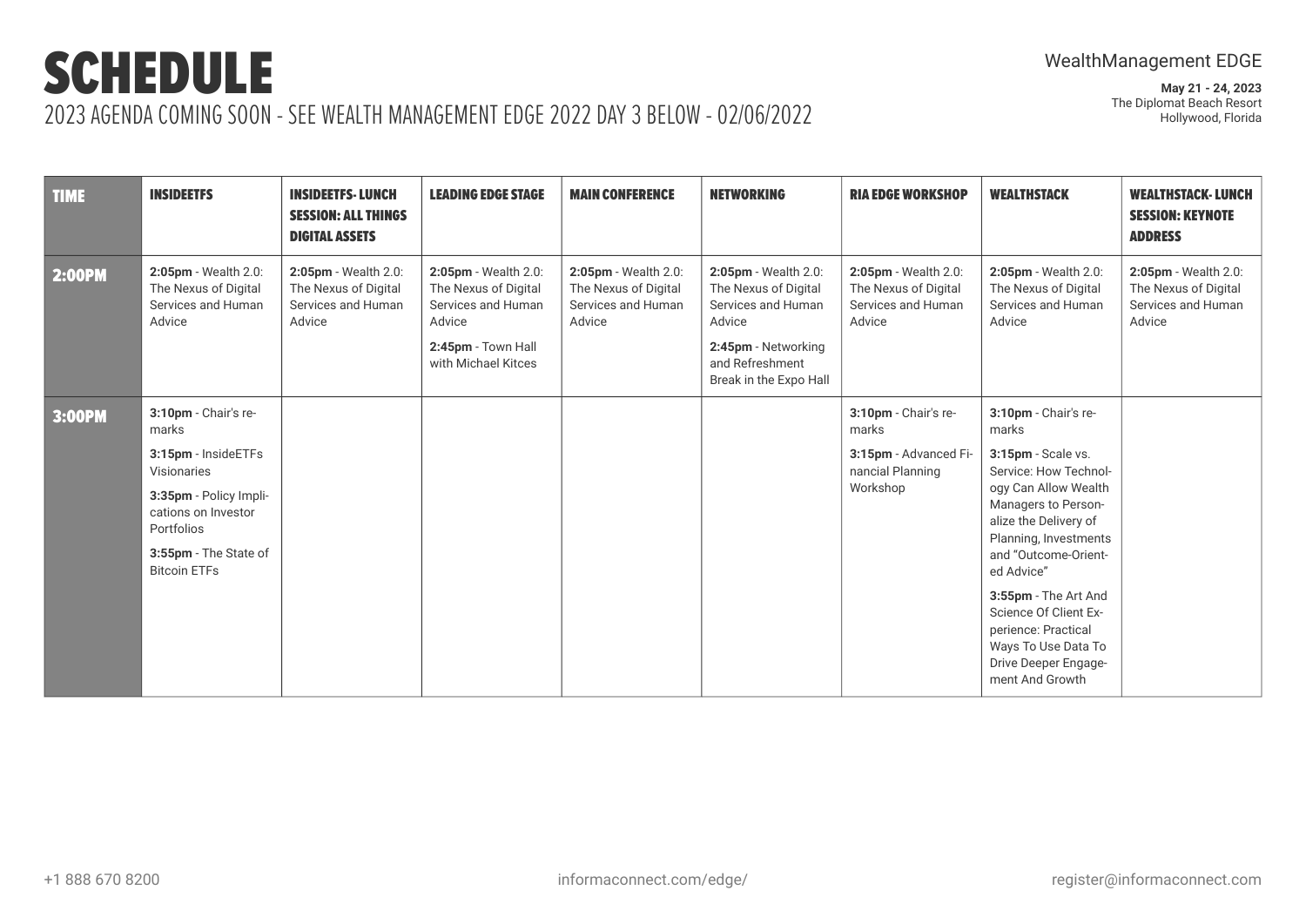| <b>TIME</b>   | <b>INSIDEETFS</b>                                                            | <b>INSIDEETFS-LUNCH</b><br><b>SESSION: ALL THINGS</b><br><b>DIGITAL ASSETS</b> | <b>LEADING EDGE STAGE</b>                                                    | <b>MAIN CONFERENCE</b>                                                       | <b>NETWORKING</b>                                                            | <b>RIA EDGE WORKSHOP</b>                                                     | <b>WEALTHSTACK</b>                                                                                                                     | <b>WEALTHSTACK-LUNCH</b><br><b>SESSION: KEYNOTE</b><br><b>ADDRESS</b>        |
|---------------|------------------------------------------------------------------------------|--------------------------------------------------------------------------------|------------------------------------------------------------------------------|------------------------------------------------------------------------------|------------------------------------------------------------------------------|------------------------------------------------------------------------------|----------------------------------------------------------------------------------------------------------------------------------------|------------------------------------------------------------------------------|
| <b>2:00PM</b> | 2:05pm - Wealth 2.0:<br>The Nexus of Digital<br>Services and Human<br>Advice | 2:05pm - Wealth 2.0:<br>The Nexus of Digital<br>Services and Human<br>Advice   | 2:05pm - Wealth 2.0:<br>The Nexus of Digital<br>Services and Human<br>Advice | 2:05pm - Wealth 2.0:<br>The Nexus of Digital<br>Services and Human<br>Advice | 2:05pm - Wealth 2.0:<br>The Nexus of Digital<br>Services and Human<br>Advice | 2:05pm - Wealth 2.0:<br>The Nexus of Digital<br>Services and Human<br>Advice | 2:05pm - Wealth 2.0:<br>The Nexus of Digital<br>Services and Human<br>Advice                                                           | 2:05pm - Wealth 2.0:<br>The Nexus of Digital<br>Services and Human<br>Advice |
|               |                                                                              |                                                                                | 2:45pm - Town Hall<br>with Michael Kitces                                    |                                                                              | 2:45pm - Networking<br>and Refreshment<br>Break in the Expo Hall             |                                                                              |                                                                                                                                        |                                                                              |
| 3:00PM        | 3:10pm - Chair's re-<br>marks                                                |                                                                                |                                                                              |                                                                              |                                                                              | 3:10pm - Chair's re-<br>marks                                                | 3:10pm - Chair's re-<br>marks                                                                                                          |                                                                              |
|               | 3:15pm - InsideETFs<br>Visionaries                                           |                                                                                |                                                                              |                                                                              |                                                                              | 3:15pm - Advanced Fi-<br>nancial Planning                                    | 3:15pm - Scale vs.<br>Service: How Technol-                                                                                            |                                                                              |
|               | 3:35pm - Policy Impli-<br>cations on Investor<br>Portfolios                  |                                                                                |                                                                              |                                                                              |                                                                              | Workshop                                                                     | ogy Can Allow Wealth<br>Managers to Person-<br>alize the Delivery of<br>Planning, Investments                                          |                                                                              |
|               | 3:55pm - The State of<br><b>Bitcoin ETFs</b>                                 |                                                                                |                                                                              |                                                                              |                                                                              |                                                                              | and "Outcome-Orient-<br>ed Advice"                                                                                                     |                                                                              |
|               |                                                                              |                                                                                |                                                                              |                                                                              |                                                                              |                                                                              | 3:55pm - The Art And<br>Science Of Client Ex-<br>perience: Practical<br>Ways To Use Data To<br>Drive Deeper Engage-<br>ment And Growth |                                                                              |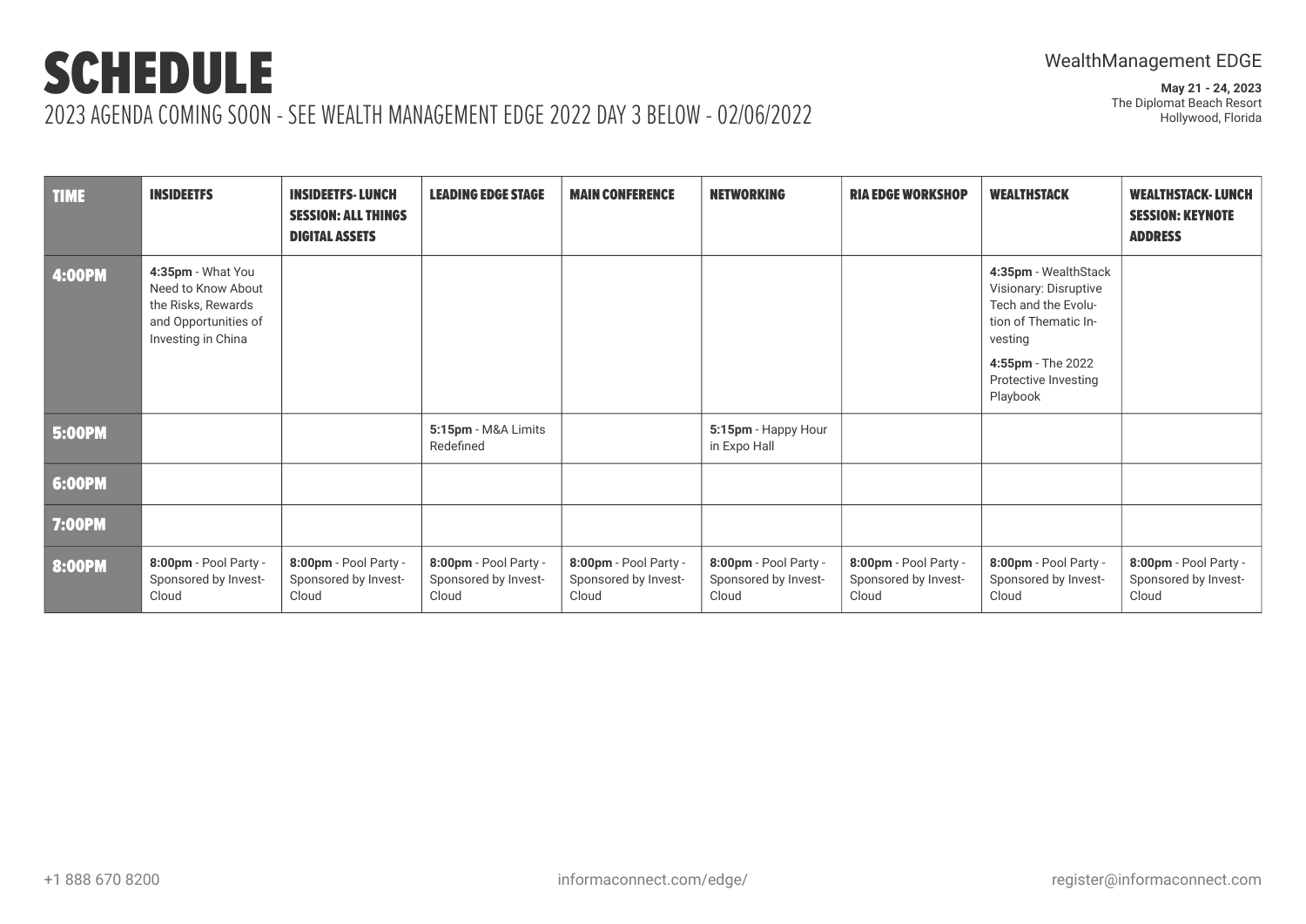| <b>TIME</b>   | <b>INSIDEETFS</b>                                                                                           | <b>INSIDEETFS-LUNCH</b><br><b>SESSION: ALL THINGS</b><br><b>DIGITAL ASSETS</b> | <b>LEADING EDGE STAGE</b>                              | <b>MAIN CONFERENCE</b>                                 | <b>NETWORKING</b>                                      | <b>RIA EDGE WORKSHOP</b>                               | <b>WEALTHSTACK</b>                                                                                                                                               | <b>WEALTHSTACK-LUNCH</b><br><b>SESSION: KEYNOTE</b><br><b>ADDRESS</b> |
|---------------|-------------------------------------------------------------------------------------------------------------|--------------------------------------------------------------------------------|--------------------------------------------------------|--------------------------------------------------------|--------------------------------------------------------|--------------------------------------------------------|------------------------------------------------------------------------------------------------------------------------------------------------------------------|-----------------------------------------------------------------------|
| <b>4:00PM</b> | 4:35pm - What You<br>Need to Know About<br>the Risks, Rewards<br>and Opportunities of<br>Investing in China |                                                                                |                                                        |                                                        |                                                        |                                                        | 4:35pm - WealthStack<br>Visionary: Disruptive<br>Tech and the Evolu-<br>tion of Thematic In-<br>vesting<br>4:55pm - The 2022<br>Protective Investing<br>Playbook |                                                                       |
| 5:00PM        |                                                                                                             |                                                                                | 5:15pm - M&A Limits<br>Redefined                       |                                                        | 5:15pm - Happy Hour<br>in Expo Hall                    |                                                        |                                                                                                                                                                  |                                                                       |
| 6:00PM        |                                                                                                             |                                                                                |                                                        |                                                        |                                                        |                                                        |                                                                                                                                                                  |                                                                       |
| <b>7:00PM</b> |                                                                                                             |                                                                                |                                                        |                                                        |                                                        |                                                        |                                                                                                                                                                  |                                                                       |
| 8:00PM        | 8:00pm - Pool Party -<br>Sponsored by Invest-<br>Cloud                                                      | 8:00pm - Pool Party -<br>Sponsored by Invest-<br>Cloud                         | 8:00pm - Pool Party -<br>Sponsored by Invest-<br>Cloud | 8:00pm - Pool Party -<br>Sponsored by Invest-<br>Cloud | 8:00pm - Pool Party -<br>Sponsored by Invest-<br>Cloud | 8:00pm - Pool Party -<br>Sponsored by Invest-<br>Cloud | 8:00pm - Pool Party -<br>Sponsored by Invest-<br>Cloud                                                                                                           | 8:00pm - Pool Party -<br>Sponsored by Invest-<br>Cloud                |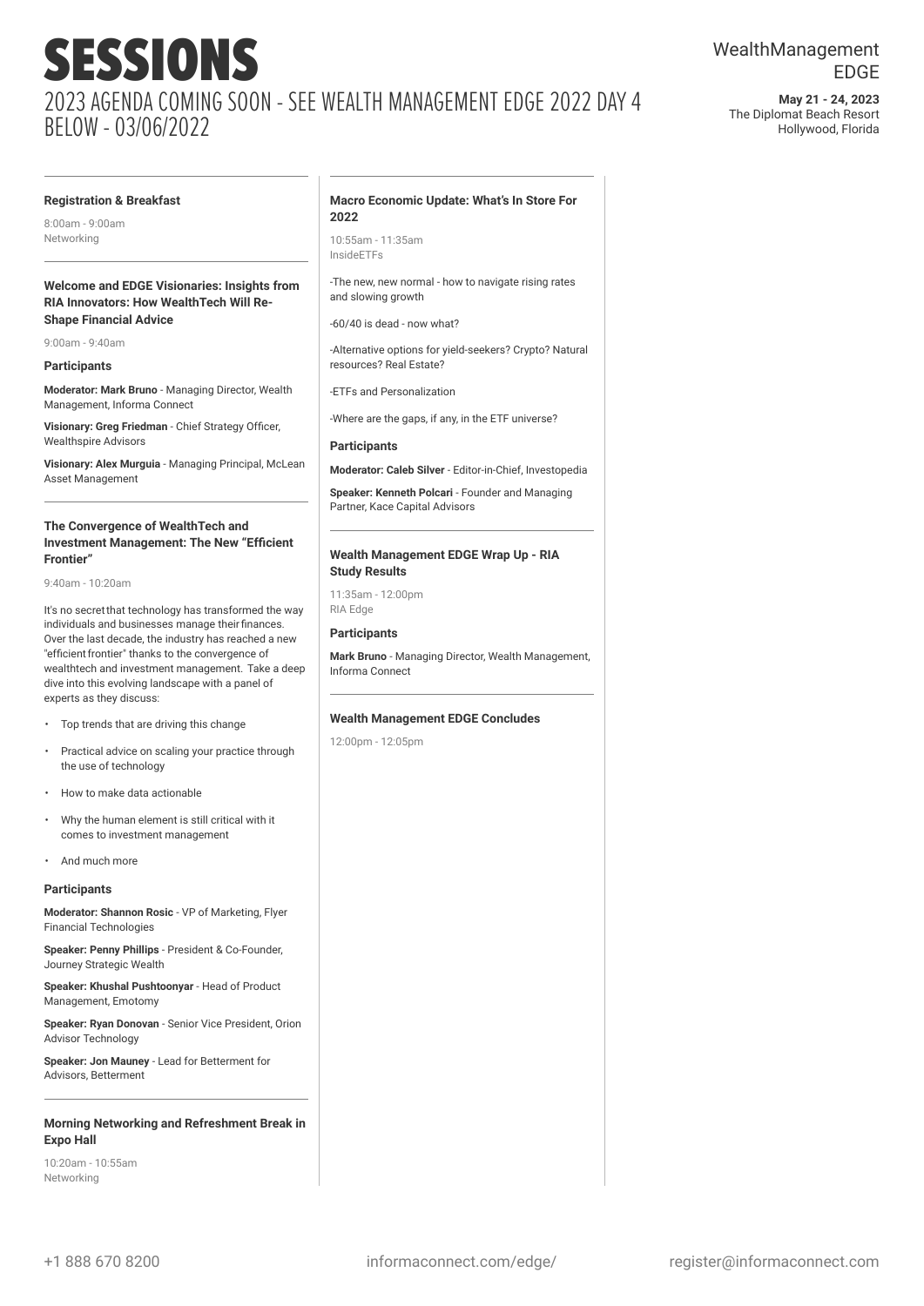**May 21 - 24, 2023** The Diplomat Beach Resort Hollywood, Florida

#### **Registration & Breakfast**

8:00am - 9:00am Networking

#### **Welcome and EDGE Visionaries: Insights from RIA Innovators: How WealthTech Will Re-Shape Financial Advice**

9:00am - 9:40am

#### **Participants**

**Moderator: Mark Bruno** - Managing Director, Wealth Management, Informa Connect

**Visionary: Greg Friedman** - Chief Strategy Officer, Wealthspire Advisors

**Visionary: Alex Murguia** - Managing Principal, McLean Asset Management

#### **The Convergence of WealthTech and Investment Management: The New "Efficient Frontier"**

9:40am - 10:20am

It's no secretthat technology has transformed the way individuals and businesses manage theirfinances. Over the last decade, the industry has reached a new "efficient frontier" thanks to the convergence of wealthtech and investment management. Take a deep dive into this evolving landscape with a panel of experts as they discuss:

- Top trends that are driving this change
- Practical advice on scaling your practice through the use of technology
- How to make data actionable
- Why the human element is still critical with it comes to investment management
- And much more

#### **Participants**

**Moderator: Shannon Rosic** - VP of Marketing, Flyer Financial Technologies

**Speaker: Penny Phillips** - President & Co-Founder, Journey Strategic Wealth

**Speaker: Khushal Pushtoonyar** - Head of Product Management, Emotomy

**Speaker: Ryan Donovan** - Senior Vice President, Orion Advisor Technology

**Speaker: Jon Mauney** - Lead for Betterment for Advisors, Betterment

#### **Morning Networking and Refreshment Break in Expo Hall**

10:20am - 10:55am Networking

#### **Macro Economic Update: What's In Store For 2022**

10:55am - 11:35am InsideETFs

-The new, new normal - how to navigate rising rates and slowing growth

-60/40 is dead - now what?

-Alternative options for yield-seekers? Crypto? Natural resources? Real Estate?

-ETFs and Personalization

-Where are the gaps, if any, in the ETF universe?

#### **Participants**

**Moderator: Caleb Silver** - Editor-in-Chief, Investopedia

**Speaker: Kenneth Polcari** - Founder and Managing Partner, Kace Capital Advisors

#### **Wealth Management EDGE Wrap Up - RIA Study Results**

11:35am - 12:00pm RIA Edge

#### **Participants**

**Mark Bruno** - Managing Director, Wealth Management, Informa Connect

#### **Wealth Management EDGE Concludes**

12:00pm - 12:05pm